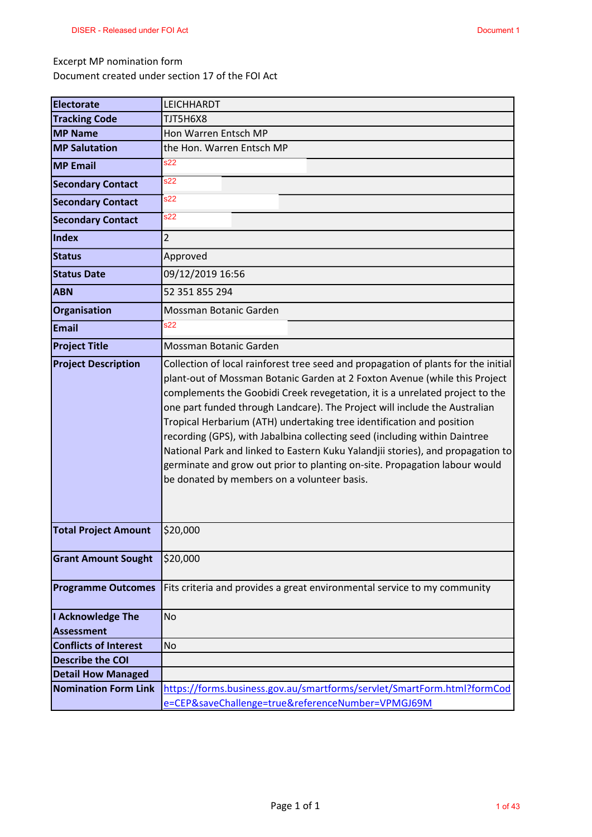#### Excerpt MP nomination form

Document created under section 17 of the FOI Act

| <b>Electorate</b>            | LEICHHARDT                                                                                                                                                                                                                                                                                                                                                                                                                                                                                                                                                                                                                                                                                            |
|------------------------------|-------------------------------------------------------------------------------------------------------------------------------------------------------------------------------------------------------------------------------------------------------------------------------------------------------------------------------------------------------------------------------------------------------------------------------------------------------------------------------------------------------------------------------------------------------------------------------------------------------------------------------------------------------------------------------------------------------|
| <b>Tracking Code</b>         | TJT5H6X8                                                                                                                                                                                                                                                                                                                                                                                                                                                                                                                                                                                                                                                                                              |
| <b>MP Name</b>               | Hon Warren Entsch MP                                                                                                                                                                                                                                                                                                                                                                                                                                                                                                                                                                                                                                                                                  |
| <b>MP Salutation</b>         | the Hon. Warren Entsch MP                                                                                                                                                                                                                                                                                                                                                                                                                                                                                                                                                                                                                                                                             |
| <b>MP Email</b>              | s22                                                                                                                                                                                                                                                                                                                                                                                                                                                                                                                                                                                                                                                                                                   |
| <b>Secondary Contact</b>     | s22                                                                                                                                                                                                                                                                                                                                                                                                                                                                                                                                                                                                                                                                                                   |
| <b>Secondary Contact</b>     | s22                                                                                                                                                                                                                                                                                                                                                                                                                                                                                                                                                                                                                                                                                                   |
| <b>Secondary Contact</b>     | s22                                                                                                                                                                                                                                                                                                                                                                                                                                                                                                                                                                                                                                                                                                   |
| Index                        | $\overline{2}$                                                                                                                                                                                                                                                                                                                                                                                                                                                                                                                                                                                                                                                                                        |
| <b>Status</b>                | Approved                                                                                                                                                                                                                                                                                                                                                                                                                                                                                                                                                                                                                                                                                              |
| <b>Status Date</b>           | 09/12/2019 16:56                                                                                                                                                                                                                                                                                                                                                                                                                                                                                                                                                                                                                                                                                      |
| <b>ABN</b>                   | 52 351 855 294                                                                                                                                                                                                                                                                                                                                                                                                                                                                                                                                                                                                                                                                                        |
| Organisation                 | Mossman Botanic Garden                                                                                                                                                                                                                                                                                                                                                                                                                                                                                                                                                                                                                                                                                |
| <b>Email</b>                 | s22                                                                                                                                                                                                                                                                                                                                                                                                                                                                                                                                                                                                                                                                                                   |
| <b>Project Title</b>         | Mossman Botanic Garden                                                                                                                                                                                                                                                                                                                                                                                                                                                                                                                                                                                                                                                                                |
| <b>Project Description</b>   | Collection of local rainforest tree seed and propagation of plants for the initial<br>plant-out of Mossman Botanic Garden at 2 Foxton Avenue (while this Project<br>complements the Goobidi Creek revegetation, it is a unrelated project to the<br>one part funded through Landcare). The Project will include the Australian<br>Tropical Herbarium (ATH) undertaking tree identification and position<br>recording (GPS), with Jabalbina collecting seed (including within Daintree<br>National Park and linked to Eastern Kuku Yalandjii stories), and propagation to<br>germinate and grow out prior to planting on-site. Propagation labour would<br>be donated by members on a volunteer basis. |
| <b>Total Project Amount</b>  | \$20,000                                                                                                                                                                                                                                                                                                                                                                                                                                                                                                                                                                                                                                                                                              |
| <b>Grant Amount Sought</b>   | \$20,000                                                                                                                                                                                                                                                                                                                                                                                                                                                                                                                                                                                                                                                                                              |
| <b>Programme Outcomes</b>    | Fits criteria and provides a great environmental service to my community                                                                                                                                                                                                                                                                                                                                                                                                                                                                                                                                                                                                                              |
| I Acknowledge The            | <b>No</b>                                                                                                                                                                                                                                                                                                                                                                                                                                                                                                                                                                                                                                                                                             |
| <b>Assessment</b>            |                                                                                                                                                                                                                                                                                                                                                                                                                                                                                                                                                                                                                                                                                                       |
| <b>Conflicts of Interest</b> | No                                                                                                                                                                                                                                                                                                                                                                                                                                                                                                                                                                                                                                                                                                    |
| <b>Describe the COI</b>      |                                                                                                                                                                                                                                                                                                                                                                                                                                                                                                                                                                                                                                                                                                       |
| <b>Detail How Managed</b>    |                                                                                                                                                                                                                                                                                                                                                                                                                                                                                                                                                                                                                                                                                                       |
| <b>Nomination Form Link</b>  | https://forms.business.gov.au/smartforms/servlet/SmartForm.html?formCod                                                                                                                                                                                                                                                                                                                                                                                                                                                                                                                                                                                                                               |
|                              | e=CEP&saveChallenge=true&referenceNumber=VPMGJ69M                                                                                                                                                                                                                                                                                                                                                                                                                                                                                                                                                                                                                                                     |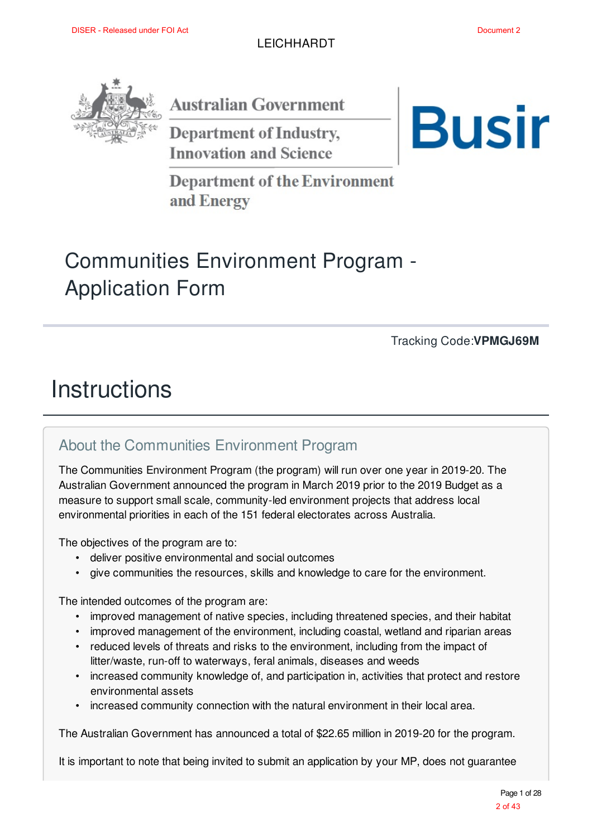

**Australian Government** 

**Department of Industry, Innovation and Science** 



**Department of the Environment** and Energy

## Communities Environment Program - Application Form

Tracking Code:**VPMGJ69M**

## **Instructions**

### About the Communities Environment Program

The Communities Environment Program (the program) will run over one year in 2019-20. The Australian Government announced the program in March 2019 prior to the 2019 Budget as a measure to support small scale, community-led environment projects that address local environmental priorities in each of the 151 federal electorates across Australia.

The objectives of the program are to:

- deliver positive environmental and social outcomes
- give communities the resources, skills and knowledge to care for the environment.

The intended outcomes of the program are:

- improved management of native species, including threatened species, and their habitat
- improved management of the environment, including coastal, wetland and riparian areas
- reduced levels of threats and risks to the environment, including from the impact of litter/waste, run-off to waterways, feral animals, diseases and weeds
- increased community knowledge of, and participation in, activities that protect and restore environmental assets
- increased community connection with the natural environment in their local area.

The Australian Government has announced a total of \$22.65 million in 2019-20 for the program.

It is important to note that being invited to submit an application by your MP, does not guarantee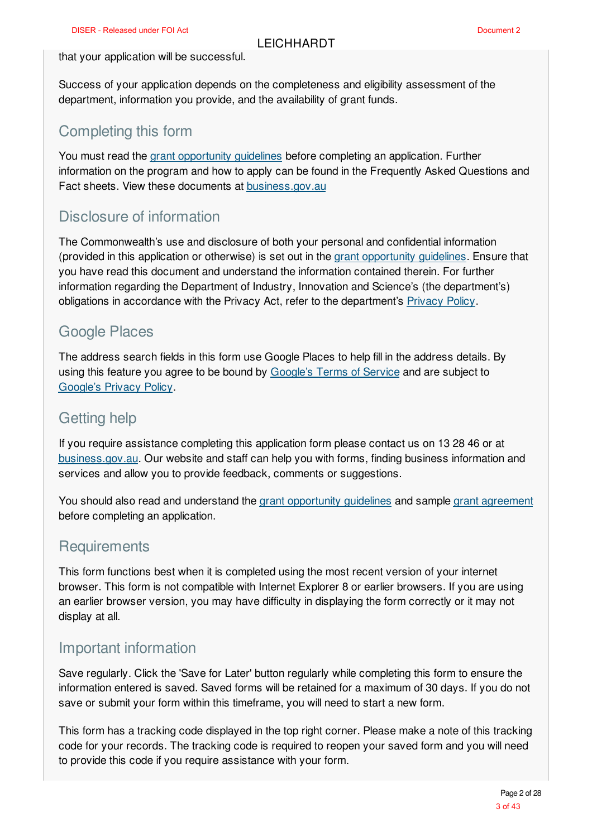#### that your application will be successful.

Success of your application depends on the completeness and eligibility assessment of the department, information you provide, and the availability of grant funds.

### Completing this form

You must read the grant opportunity guidelines before completing an application. Further information on the program and how to apply can be found in the Frequently Asked Questions and Fact sheets. View these documents at business.gov.au

### Disclosure of information

The Commonwealth's use and disclosure of both your personal and confidential information (provided in this application or otherwise) is set out in the grant opportunity guidelines. Ensure that you have read this document and understand the information contained therein. For further information regarding the Department of Industry, Innovation and Science's (the department's) obligations in accordance with the Privacy Act, refer to the department's Privacy Policy.

### Google Places

The address search fields in this form use Google Places to help fill in the address details. By using this feature you agree to be bound by Google's Terms of Service and are subject to Google's Privacy Policy.

### Getting help

If you require assistance completing this application form please contact us on 13 28 46 or at business.gov.au. Our website and staff can help you with forms, finding business information and services and allow you to provide feedback, comments or suggestions.

You should also read and understand the grant opportunity guidelines and sample grant agreement before completing an application.

### **Requirements**

This form functions best when it is completed using the most recent version of your internet browser. This form is not compatible with Internet Explorer 8 or earlier browsers. If you are using an earlier browser version, you may have difficulty in displaying the form correctly or it may not display at all.

### Important information

Save regularly. Click the 'Save for Later' button regularly while completing this form to ensure the information entered is saved. Saved forms will be retained for a maximum of 30 days. If you do not save or submit your form within this timeframe, you will need to start a new form.

This form has a tracking code displayed in the top right corner. Please make a note of this tracking code for your records. The tracking code is required to reopen your saved form and you will need to provide this code if you require assistance with your form.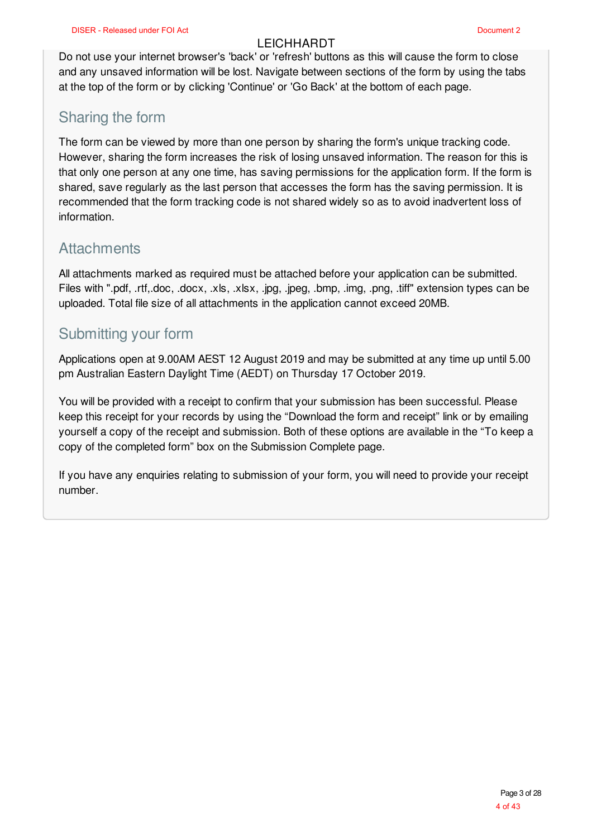Do not use your internet browser's 'back' or 'refresh' buttons as this will cause the form to close and any unsaved information will be lost. Navigate between sections of the form by using the tabs at the top of the form or by clicking 'Continue' or 'Go Back' at the bottom of each page.

### Sharing the form

The form can be viewed by more than one person by sharing the form's unique tracking code. However, sharing the form increases the risk of losing unsaved information. The reason for this is that only one person at any one time, has saving permissions for the application form. If the form is shared, save regularly as the last person that accesses the form has the saving permission. It is recommended that the form tracking code is not shared widely so as to avoid inadvertent loss of information.

### **Attachments**

All attachments marked as required must be attached before your application can be submitted. Files with ".pdf, .rtf,.doc, .docx, .xls, .xlsx, .jpg, .jpeg, .bmp, .img, .png, .tiff" extension types can be uploaded. Total file size of all attachments in the application cannot exceed 20MB.

### Submitting your form

Applications open at 9.00AM AEST 12 August 2019 and may be submitted at any time up until 5.00 pm Australian Eastern Daylight Time (AEDT) on Thursday 17 October 2019.

You will be provided with a receipt to confirm that your submission has been successful. Please keep this receipt for your records by using the "Download the form and receipt" link or by emailing yourself a copy of the receipt and submission. Both of these options are available in the "To keep a copy of the completed form" box on the Submission Complete page.

If you have any enquiries relating to submission of your form, you will need to provide your receipt number.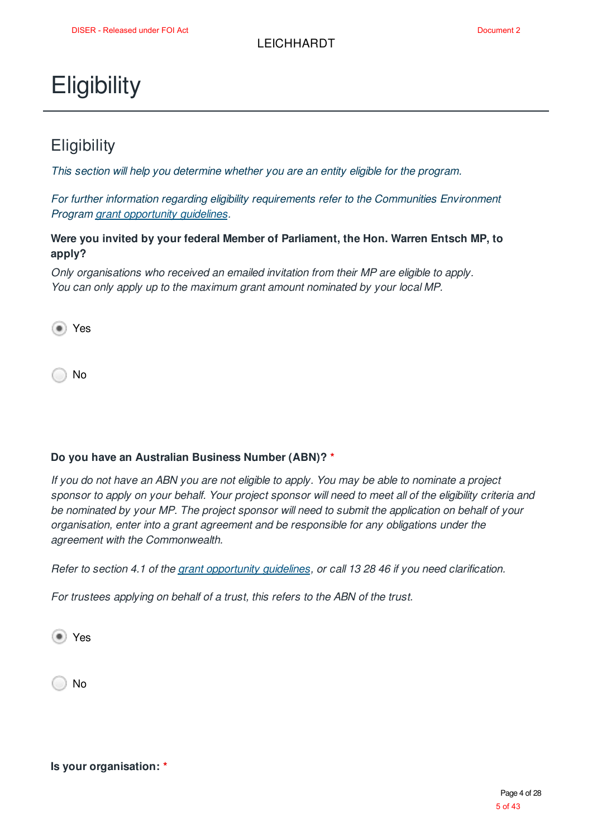## **Eligibility**

### **Eligibility**

*This section will help you determine whether you are an entity eligible for the program.*

*For further information regarding eligibility requirements refer to the Communities Environment Program grant opportunity guidelines.*

#### **Were you invited by your federal Member of Parliament, the Hon. Warren Entsch MP, to apply?**

*Only organisations who received an emailed invitation from their MP are eligible to apply. You can only apply up to the maximum grant amount nominated by your local MP.*

Yes

No

#### **Do you have an Australian Business Number (ABN)? \***

If you do not have an ABN you are not eligible to apply. You may be able to nominate a project sponsor to apply on your behalf. Your project sponsor will need to meet all of the eligibility criteria and *be nominated by your MP. The project sponsor will need to submit the application on behalf of your organisation, enter into a grant agreement and be responsible for any obligations under the agreement with the Commonwealth.*

Refer to section 4.1 of the grant opportunity guidelines, or call 13 28 46 if you need clarification.

*For trustees applying on behalf of a trust, this refers to the ABN of the trust.*

<sup>■</sup> Yes

No

**Is your organisation: \***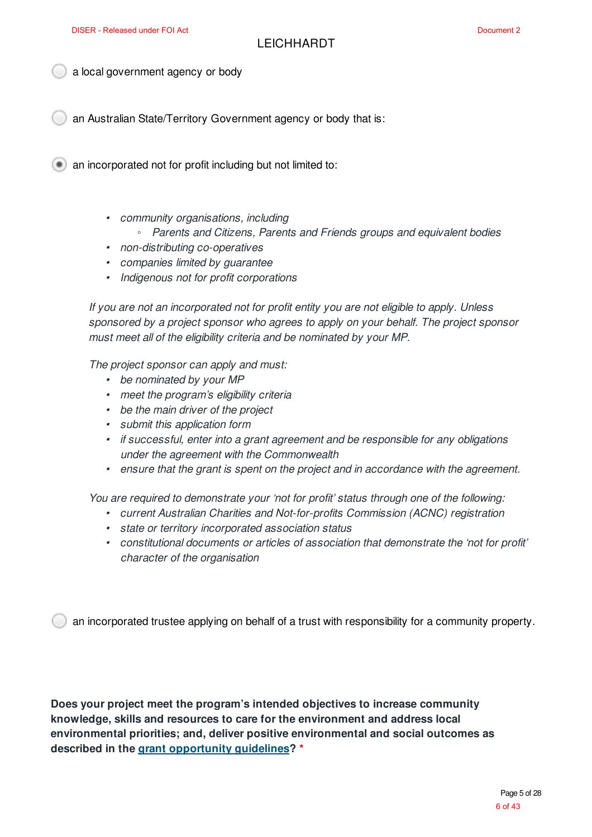a local government agency or body

an Australian State/Territory Government agency or body that is:

**an incorporated not for profit including but not limited to:** 

- *• community organisations, including*
	- *◦ Parents and Citizens, Parents and Friends groups and equivalent bodies*
- *• non-distributing co-operatives*
- *• companies limited by guarantee*
- *• Indigenous not for profit corporations*

*If you are not an incorporated not for profit entity you are not eligible to apply. Unless sponsored by a project sponsor who agrees to apply on your behalf. The project sponsor must meet all of the eligibility criteria and be nominated by your MP.*

*The project sponsor can apply and must:*

- *• be nominated by your MP*
- *• meet the program's eligibility criteria*
- *• be the main driver of the project*
- *• submit this application form*
- *• if successful, enter into a grant agreement and be responsible for any obligations under the agreement with the Commonwealth*
- *• ensure that the grant is spent on the project and in accordance with the agreement.*

*You are required to demonstrate your 'not for profit' status through one of the following:*

- *• current Australian Charities and Not-for-profits Commission (ACNC) registration*
- *• state or territory incorporated association status*
- *• constitutional documents or articles of association that demonstrate the 'not for profit' character of the organisation*

an incorporated trustee applying on behalf of a trust with responsibility for a community property.

**Does your project meet the program's intended objectives to increase community knowledge, skills and resources to care for the environment and address local environmental priorities; and, deliver positive environmental and social outcomes as described in the grant opportunity guidelines? \***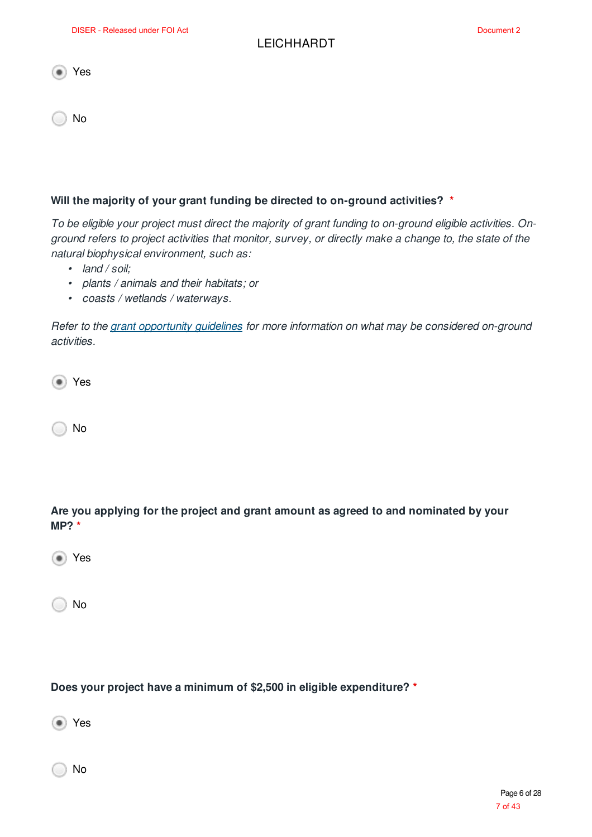|--|--|

No

#### **Will the majority of your grant funding be directed to on-ground activities? \***

To be eligible your project must direct the majority of grant funding to on-ground eligible activities. Onground refers to project activities that monitor, survey, or directly make a change to, the state of the *natural biophysical environment, such as:*

- *• land / soil;*
- *• plants / animals and their habitats; or*
- *• coasts / wetlands / waterways.*

*Refer to the grant opportunity guidelines for more information on what may be considered on-ground activities.*

Yes

No

**Are you applying for the project and grant amount as agreed to and nominated by your MP? \***

Yes

No

**Does your project have a minimum of \$2,500 in eligible expenditure? \***

<sup>■</sup> Yes

No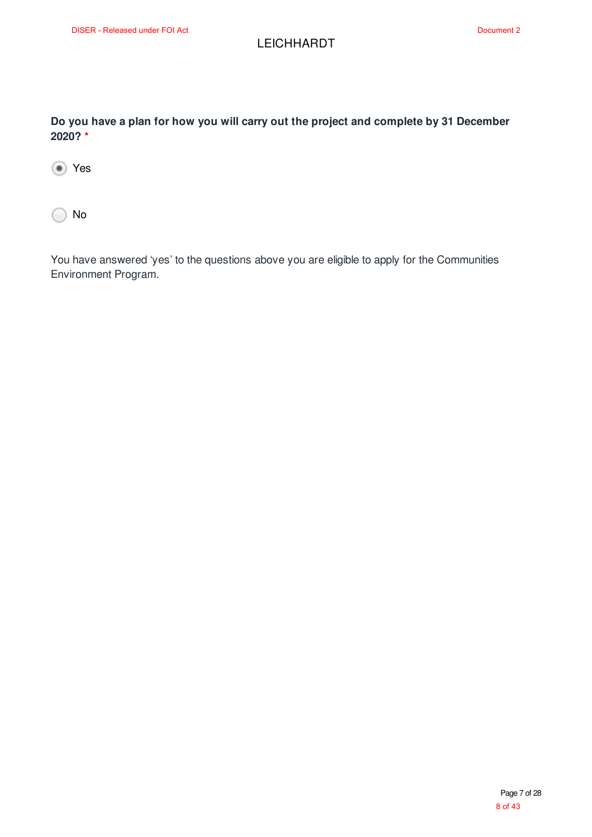**Do you have a plan for how you will carry out the project and complete by 31 December 2020? \***

Yes

◯ No

You have answered 'yes' to the questions above you are eligible to apply for the Communities Environment Program.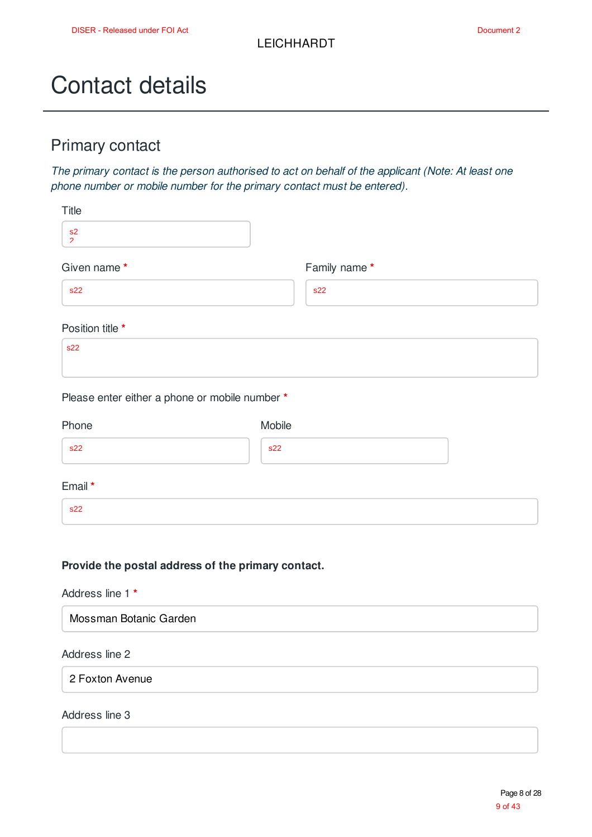## Contact details

### Primary contact

*The primary contact is the person authorised to act on behalf of the applicant (Note: At least one phone number or mobile number for the primary contact must be entered).*

| Title                                                   |              |
|---------------------------------------------------------|--------------|
| s2<br>$\mathcal{D}$                                     |              |
| Given name*                                             | Family name* |
| s22                                                     | s22          |
| Position title *                                        |              |
| s22                                                     |              |
| Please enter either a phone or mobile number *<br>Phone | Mobile       |
| s22                                                     | s22          |
| Email *                                                 |              |
| s22                                                     |              |
|                                                         |              |
|                                                         |              |

#### **Provide the postal address of the primary contact.**

#### Address line 1 **\***

#### Address line 2

2 Foxton Avenue

#### Address line 3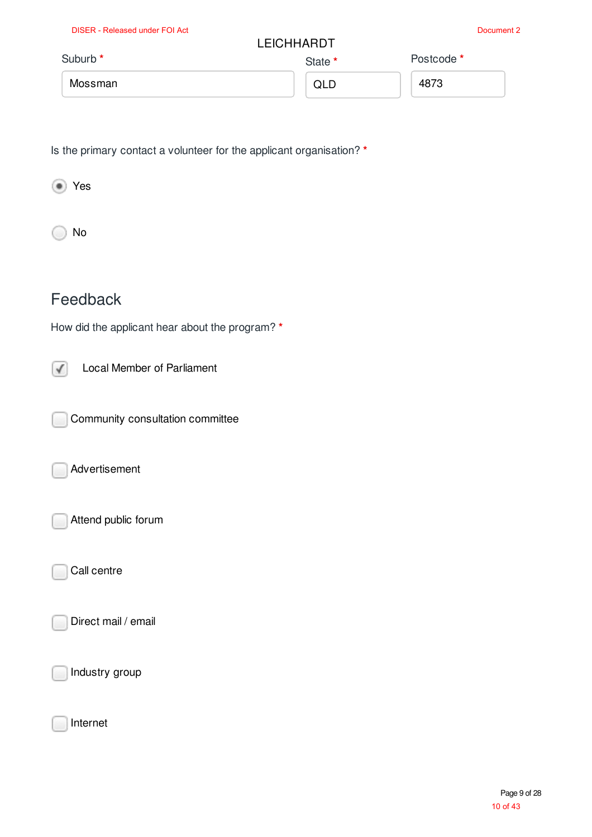| <b>DISER - Released under FOI Act</b> | <b>LEICHHARDT</b> | Document 2 |
|---------------------------------------|-------------------|------------|
| Suburb <sup>*</sup>                   | State *           | Postcode * |
| Mossman                               | QLD               | 4873       |

Is the primary contact a volunteer for the applicant organisation? **\***

Yes

No

### Feedback

How did the applicant hear about the program? **\***

Local Member of Parliament  $\sqrt{ }$ 

Community consultation committee

Advertisement

Attend public forum

Call centre

Direct mail / email

Industry group

Internet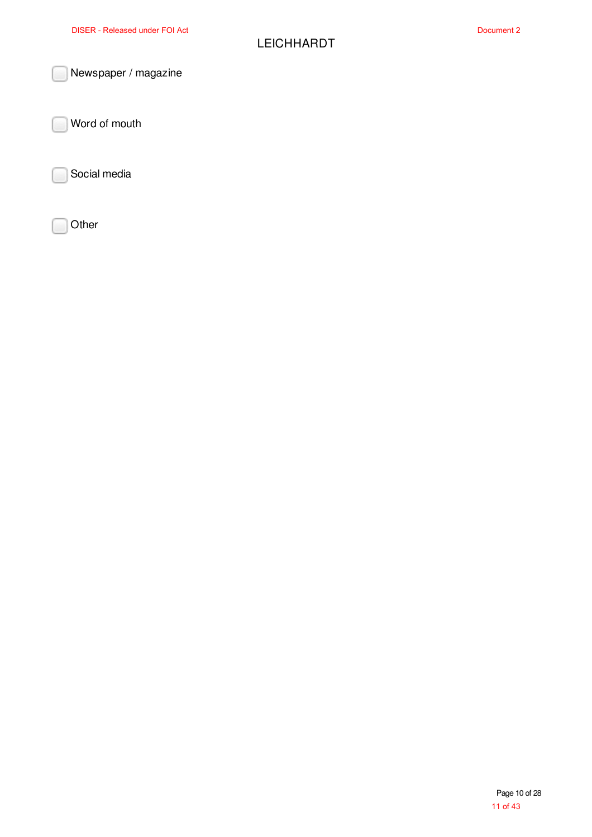Newspaper / magazine

Word of mouth

Social media

**Other**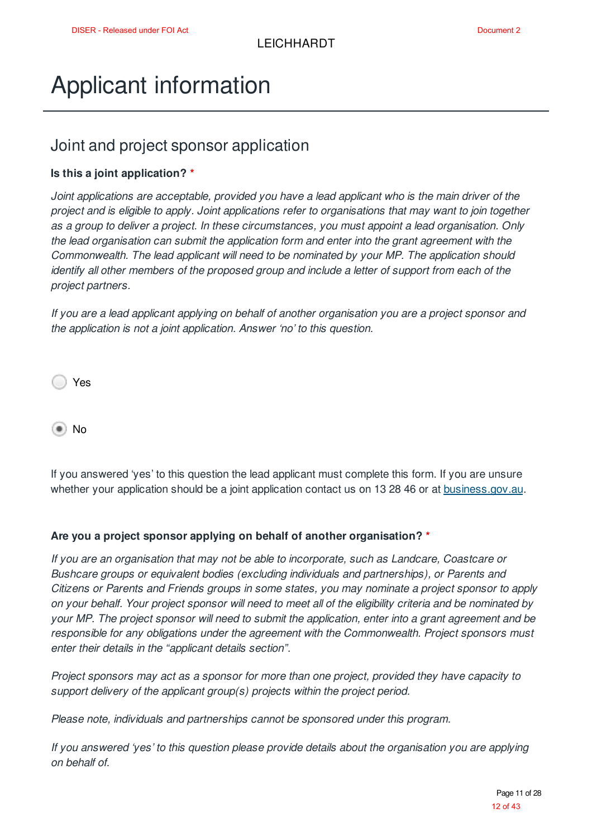## Applicant information

### Joint and project sponsor application

#### **Is this a joint application? \***

*Joint applications are acceptable, provided you have a lead applicant who is the main driver of the* project and is eligible to apply. Joint applications refer to organisations that may want to join together *as a group to deliver a project. In these circumstances, you must appoint a lead organisation. Only the lead organisation can submit the application form and enter into the grant agreement with the Commonwealth. The lead applicant will need to be nominated by your MP. The application should identify all other members of the proposed group and include a letter of support from each of the project partners.*

If you are a lead applicant applying on behalf of another organisation you are a project sponsor and *the application is not a joint application. Answer 'no' to this question.*

Yes

No

If you answered 'yes' to this question the lead applicant must complete this form. If you are unsure whether your application should be a joint application contact us on 13 28 46 or at **business.gov.au.** 

#### **Are you a project sponsor applying on behalf of another organisation? \***

*If you are an organisation that may not be able to incorporate, such as Landcare, Coastcare or Bushcare groups or equivalent bodies (excluding individuals and partnerships), or Parents and Citizens or Parents and Friends groups in some states, you may nominate a project sponsor to apply* on your behalf. Your project sponsor will need to meet all of the eligibility criteria and be nominated by your MP. The project sponsor will need to submit the application, enter into a grant agreement and be *responsible for any obligations under the agreement with the Commonwealth. Project sponsors must enter their details in the "applicant details section".*

*Project sponsors may act as a sponsor for more than one project, provided they have capacity to support delivery of the applicant group(s) projects within the project period.*

*Please note, individuals and partnerships cannot be sponsored under this program.*

*If you answered 'yes' to this question please provide details about the organisation you are applying on behalf of.*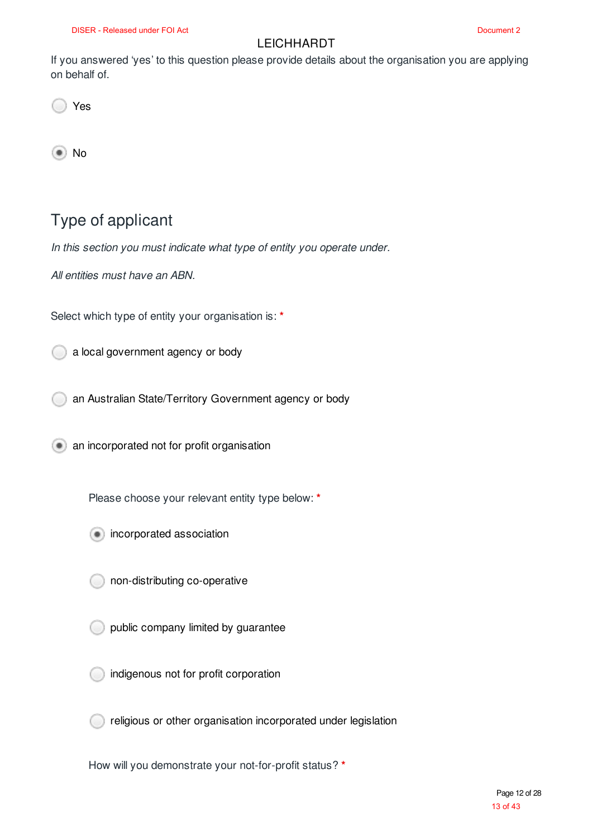If you answered 'yes' to this question please provide details about the organisation you are applying on behalf of.

Yes

(●) No

### Type of applicant

*In this section you must indicate what type of entity you operate under.*

*All entities must have an ABN.*

Select which type of entity your organisation is: **\***

a local government agency or body

an Australian State/Territory Government agency or body

**an incorporated not for profit organisation** 

Please choose your relevant entity type below: **\***

- **incorporated association** 
	- non-distributing co-operative
- public company limited by guarantee
- indigenous not for profit corporation
- religious or other organisation incorporated under legislation

How will you demonstrate your not-for-profit status? **\***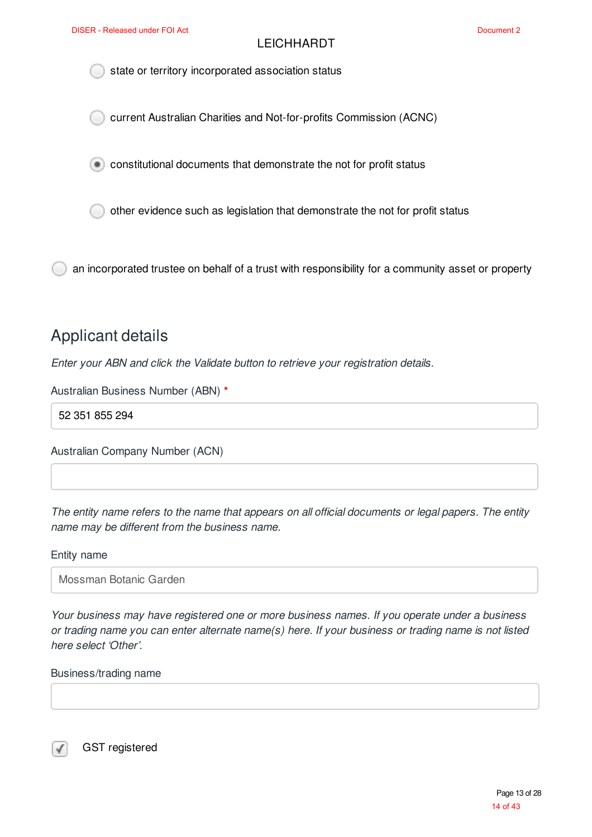state or territory incorporated association status

current Australian Charities and Not-for-profits Commission (ACNC)

constitutional documents that demonstrate the not for profit status

other evidence such as legislation that demonstrate the not for profit status

an incorporated trustee on behalf of a trust with responsibility for a community asset or property

### Applicant details

*Enter your ABN and click the Validate button to retrieve your registration details.*

Australian Business Number (ABN) **\***

52 351 855 294

Australian Company Number (ACN)

The entity name refers to the name that appears on all official documents or legal papers. The entity *name may be different from the business name.*

#### Entity name

Mossman Botanic Garden

*Your business may have registered one or more business names. If you operate under a business* or trading name you can enter alternate name(s) here. If your business or trading name is not listed *here select 'Other'.*

Business/trading name

GST registered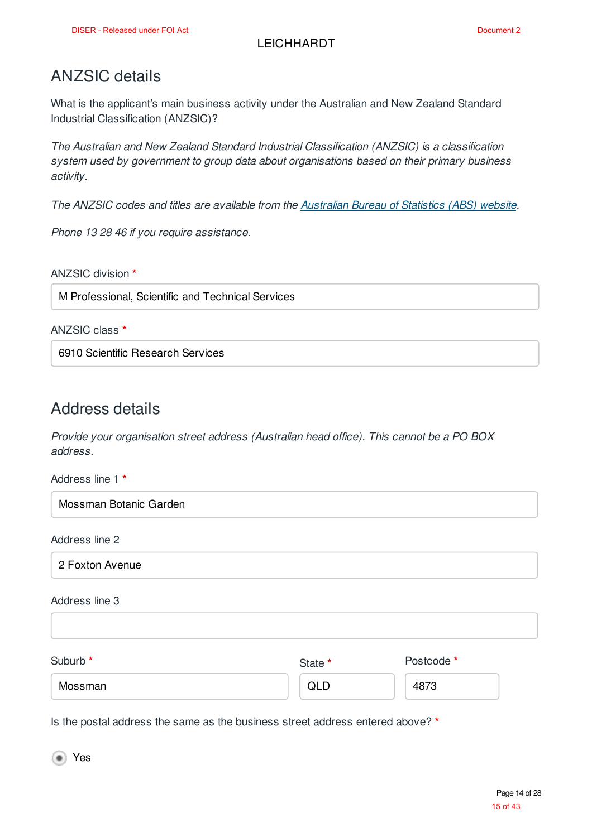### ANZSIC details

What is the applicant's main business activity under the Australian and New Zealand Standard Industrial Classification (ANZSIC)?

*The Australian and New Zealand Standard Industrial Classification (ANZSIC) is a classification system used by government to group data about organisations based on their primary business activity.*

*The ANZSIC codes and titles are available from the Australian Bureau of Statistics (ABS) website.*

*Phone 13 28 46 if you require assistance.*

ANZSIC division **\***

M Professional, Scientific and Technical Services

ANZSIC class **\***

6910 Scientific Research Services

### Address details

*Provide your organisation street address (Australian head office). This cannot be a PO BOX address.*

Address line 1 **\***

Mossman Botanic Garden

Address line 2

2 Foxton Avenue

Address line 3

Suburb **\*** Mossman State **\*** Postcode **\*** 4873 QLD

Is the postal address the same as the business street address entered above? **\***

Yes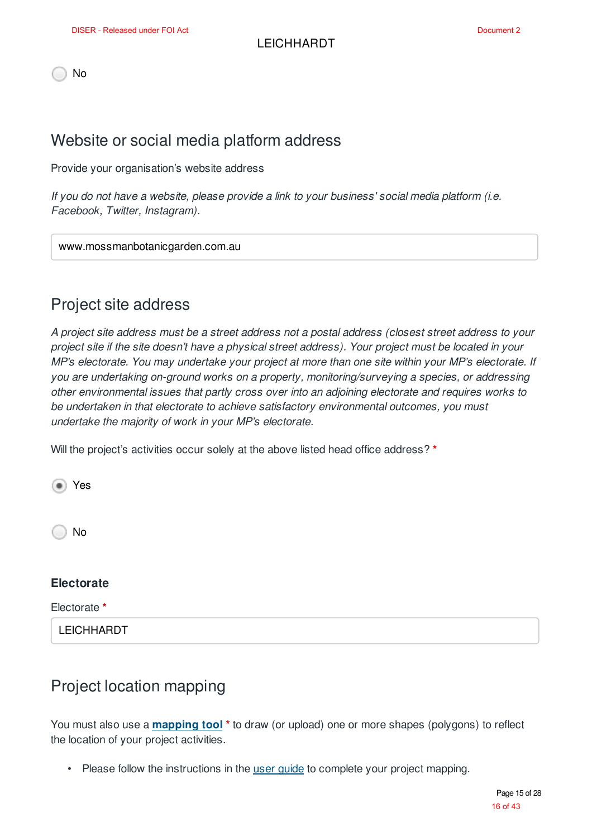No

### Website or social media platform address

Provide your organisation's website address

*If you do not have a website, please provide a link to your business' social media platform (i.e. Facebook, Twitter, Instagram).*

www.mossmanbotanicgarden.com.au

### Project site address

A project site address must be a street address not a postal address (closest street address to your project site if the site doesn't have a physical street address). Your project must be located in your *MP's electorate. You may undertake your project at more than one site within your MP's electorate. If you are undertaking on-ground works on a property, monitoring/surveying a species, or addressing other environmental issues that partly cross over into an adjoining electorate and requires works to be undertaken in that electorate to achieve satisfactory environmental outcomes, you must undertake the majority of work in your MP's electorate.*

Will the project's activities occur solely at the above listed head office address? **\***

Yes No

#### **Electorate**

Electorate **\***

**LEICHHARDT** 

### Project location mapping

You must also use a **mapping tool \*** to draw (or upload) one or more shapes (polygons) to reflect the location of your project activities.

• Please follow the instructions in the user guide to complete your project mapping.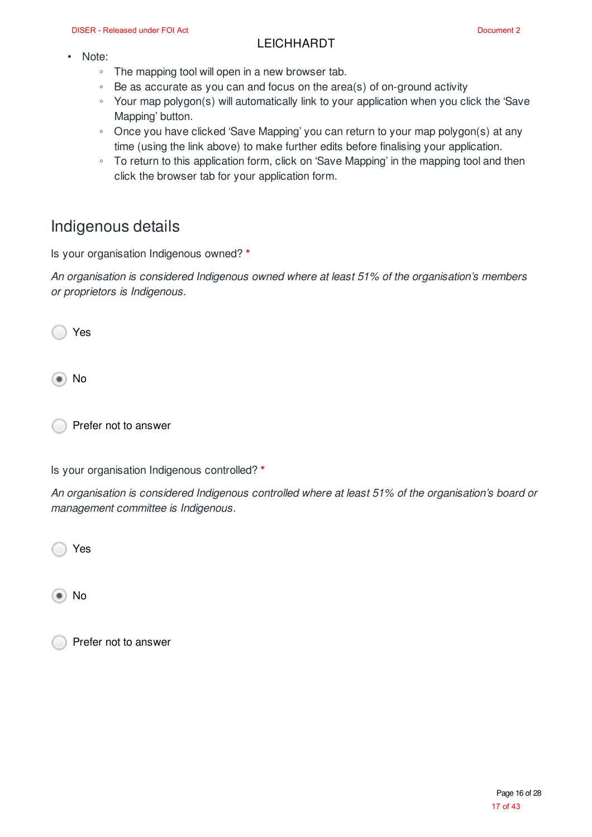- Note:
	- The mapping tool will open in a new browser tab.
	- Be as accurate as you can and focus on the area(s) of on-ground activity
	- Your map polygon(s) will automatically link to your application when you click the 'Save Mapping' button.
	- Once you have clicked 'Save Mapping' you can return to your map polygon(s) at any time (using the link above) to make further edits before finalising your application.
	- To return to this application form, click on 'Save Mapping' in the mapping tool and then click the browser tab for your application form.

### Indigenous details

Is your organisation Indigenous owned? **\***

*An organisation is considered Indigenous owned where at least 51% of the organisation's members or proprietors is Indigenous.*

Yes

No

Prefer not to answer

Is your organisation Indigenous controlled? **\***

*An organisation is considered Indigenous controlled where at least 51% of the organisation's board or management committee is Indigenous.*

Yes

No

Prefer not to answer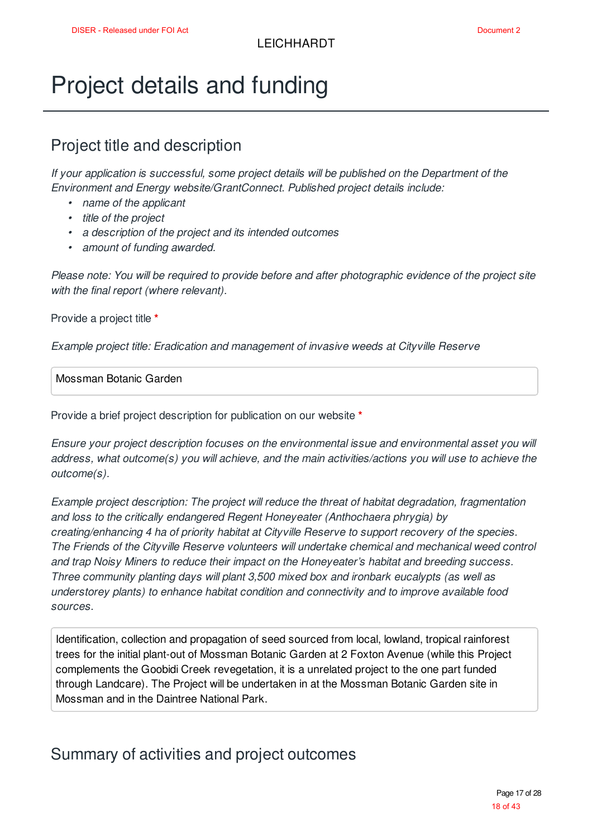## Project details and funding

### Project title and description

*If your application is successful, some project details will be published on the Department of the Environment and Energy website/GrantConnect. Published project details include:*

- *• name of the applicant*
- *• title of the project*
- *• a description of the project and its intended outcomes*
- *• amount of funding awarded.*

*Please note: You will be required to provide before and after photographic evidence of the project site with the final report (where relevant).*

Provide a project title **\***

*Example project title: Eradication and management of invasive weeds at Cityville Reserve*

Mossman Botanic Garden

Provide a brief project description for publication on our website **\***

*Ensure your project description focuses on the environmental issue and environmental asset you will address, what outcome(s) you will achieve, and the main activities/actions you will use to achieve the outcome(s).*

*Example project description: The project will reduce the threat of habitat degradation, fragmentation and loss to the critically endangered Regent Honeyeater (Anthochaera phrygia) by creating/enhancing 4 ha of priority habitat at Cityville Reserve to support recovery of the species. The Friends of the Cityville Reserve volunteers will undertake chemical and mechanical weed control and trap Noisy Miners to reduce their impact on the Honeyeater's habitat and breeding success. Three community planting days will plant 3,500 mixed box and ironbark eucalypts (as well as understorey plants) to enhance habitat condition and connectivity and to improve available food sources.*

Identification, collection and propagation of seed sourced from local, lowland, tropical rainforest trees for the initial plant-out of Mossman Botanic Garden at 2 Foxton Avenue (while this Project complements the Goobidi Creek revegetation, it is a unrelated project to the one part funded through Landcare). The Project will be undertaken in at the Mossman Botanic Garden site in Mossman and in the Daintree National Park.

### Summary of activities and project outcomes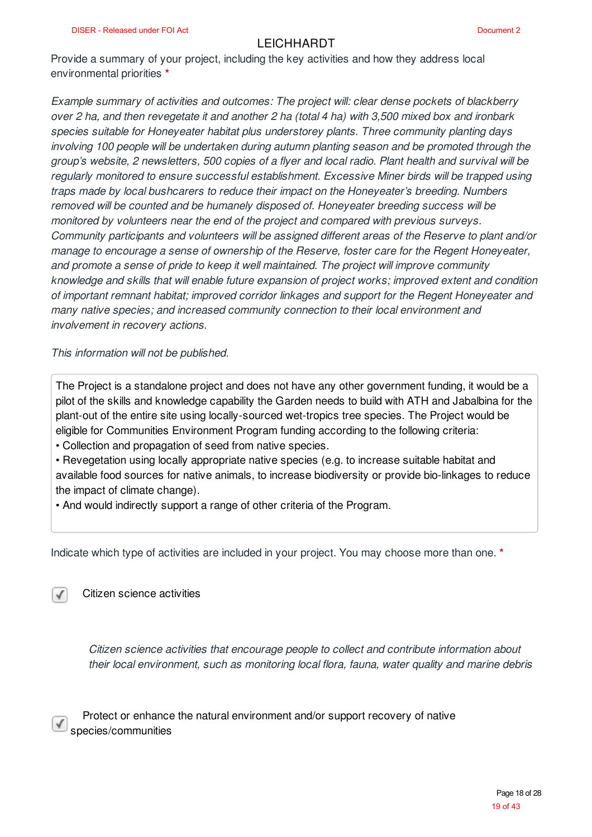Provide a summary of your project, including the key activities and how they address local environmental priorities **\***

*Example summary of activities and outcomes: The project will: clear dense pockets of blackberry* over 2 ha, and then revegetate it and another 2 ha (total 4 ha) with 3.500 mixed box and ironbark *species suitable for Honeyeater habitat plus understorey plants. Three community planting days involving 100 people will be undertaken during autumn planting season and be promoted through the* aroup's website, 2 newsletters, 500 copies of a flyer and local radio. Plant health and survival will be *regularly monitored to ensure successful establishment. Excessive Miner birds will be trapped using traps made by local bushcarers to reduce their impact on the Honeyeater's breeding. Numbers removed will be counted and be humanely disposed of. Honeyeater breeding success will be monitored by volunteers near the end of the project and compared with previous surveys. Community participants and volunteers will be assigned different areas of the Reserve to plant and/or manage to encourage a sense of ownership of the Reserve, foster care for the Regent Honeyeater, and promote a sense of pride to keep it well maintained. The project will improve community knowledge and skills that will enable future expansion of project works; improved extent and condition of important remnant habitat; improved corridor linkages and support for the Regent Honeyeater and many native species; and increased community connection to their local environment and involvement in recovery actions.*

*This information will not be published.*

The Project is a standalone project and does not have any other government funding, it would be a pilot of the skills and knowledge capability the Garden needs to build with ATH and Jabalbina for the plant-out of the entire site using locally-sourced wet-tropics tree species. The Project would be eligible for Communities Environment Program funding according to the following criteria:

• Collection and propagation of seed from native species.

• Revegetation using locally appropriate native species (e.g. to increase suitable habitat and available food sources for native animals, to increase biodiversity or provide bio-linkages to reduce the impact of climate change).

• And would indirectly support a range of other criteria of the Program.

Indicate which type of activities are included in your project. You may choose more than one. **\***

Citizen science activities

 $\checkmark$ 

*Citizen science activities that encourage people to collect and contribute information about their local environment, such as monitoring local flora, fauna, water quality and marine debris*

Protect or enhance the natural environment and/or support recovery of native species/communities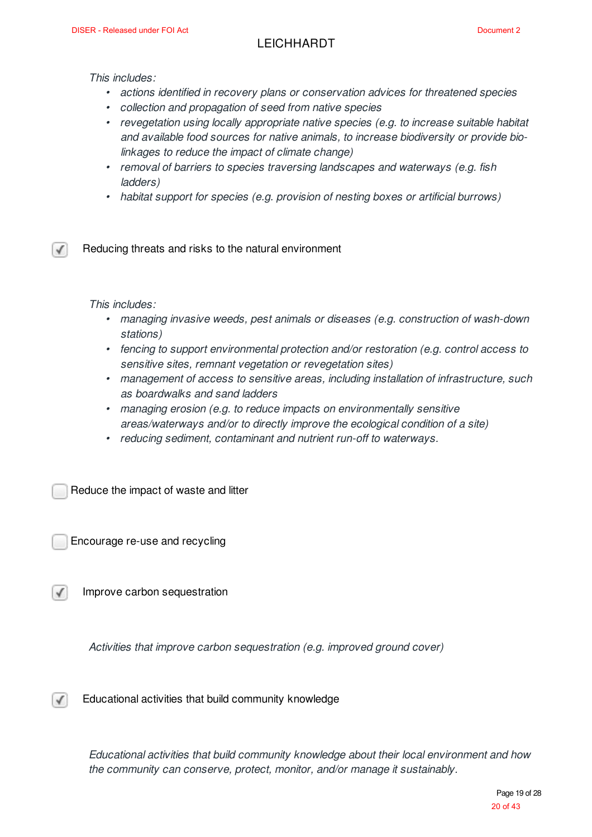*This includes:*

- *• actions identified in recovery plans or conservation advices for threatened species*
- *• collection and propagation of seed from native species*
- *• revegetation using locally appropriate native species (e.g. to increase suitable habitat and available food sources for native animals, to increase biodiversity or provide biolinkages to reduce the impact of climate change)*
- *• removal of barriers to species traversing landscapes and waterways (e.g. fish ladders)*
- *• habitat support for species (e.g. provision of nesting boxes or artificial burrows)*

Reducing threats and risks to the natural environment

*This includes:*

√

- *• managing invasive weeds, pest animals or diseases (e.g. construction of wash-down stations)*
- *• fencing to support environmental protection and/or restoration (e.g. control access to sensitive sites, remnant vegetation or revegetation sites)*
- *• management of access to sensitive areas, including installation of infrastructure, such as boardwalks and sand ladders*
- *• managing erosion (e.g. to reduce impacts on environmentally sensitive areas/waterways and/or to directly improve the ecological condition of a site)*
- *• reducing sediment, contaminant and nutrient run-off to waterways.*

Reduce the impact of waste and litter

Encourage re-use and recycling

Improve carbon sequestration

*Activities that improve carbon sequestration (e.g. improved ground cover)*

Educational activities that build community knowledge √

> *Educational activities that build community knowledge about their local environment and how the community can conserve, protect, monitor, and/or manage it sustainably.*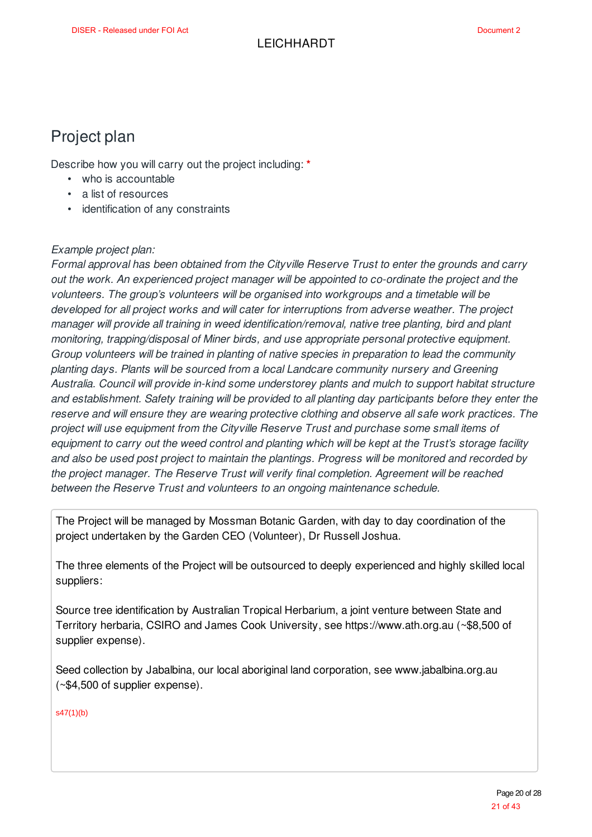### Project plan

Describe how you will carry out the project including: **\***

- who is accountable
- a list of resources
- identification of any constraints

#### *Example project plan:*

*Formal approval has been obtained from the Cityville Reserve Trust to enter the grounds and carry out the work. An experienced project manager will be appointed to co-ordinate the project and the volunteers. The group's volunteers will be organised into workgroups and a timetable will be developed for all project works and will cater for interruptions from adverse weather. The project manager will provide all training in weed identification/removal, native tree planting, bird and plant monitoring, trapping/disposal of Miner birds, and use appropriate personal protective equipment. Group volunteers will be trained in planting of native species in preparation to lead the community planting days. Plants will be sourced from a local Landcare community nursery and Greening Australia. Council will provide in-kind some understorey plants and mulch to support habitat structure and establishment. Safety training will be provided to all planting day participants before they enter the reserve and will ensure they are wearing protective clothing and observe all safe work practices. The project will use equipment from the Cityville Reserve Trust and purchase some small items of* equipment to carry out the weed control and planting which will be kept at the Trust's storage facility *and also be used post project to maintain the plantings. Progress will be monitored and recorded by the project manager. The Reserve Trust will verify final completion. Agreement will be reached between the Reserve Trust and volunteers to an ongoing maintenance schedule.*

The Project will be managed by Mossman Botanic Garden, with day to day coordination of the project undertaken by the Garden CEO (Volunteer), Dr Russell Joshua.

The three elements of the Project will be outsourced to deeply experienced and highly skilled local suppliers:

Source tree identification by Australian Tropical Herbarium, a joint venture between State and Territory herbaria, CSIRO and James Cook University, see https://www.ath.org.au (~\$8,500 of supplier expense).

Seed collection by Jabalbina, our local aboriginal land corporation, see www.jabalbina.org.au (~\$4,500 of supplier expense).

s47(1)(b)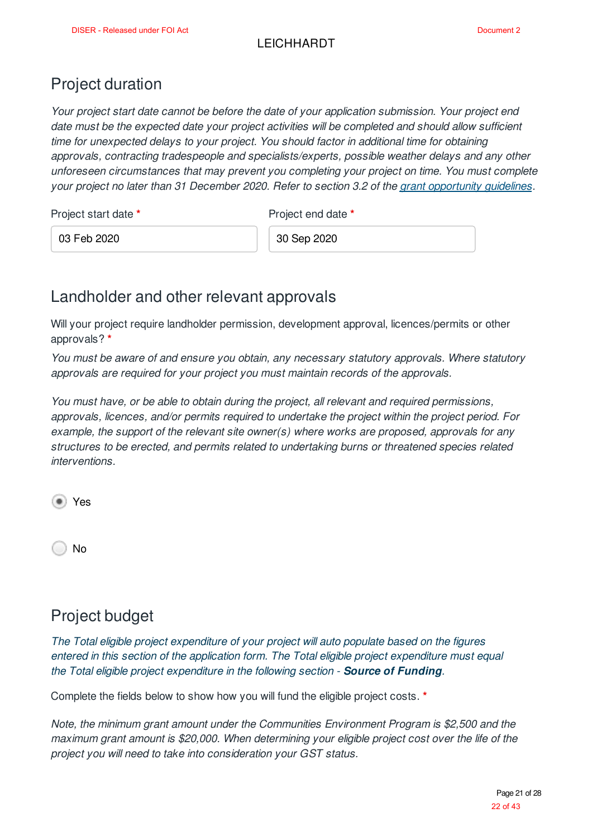### Project duration

*Your project start date cannot be before the date of your application submission. Your project end date must be the expected date your project activities will be completed and should allow sufficient time for unexpected delays to your project. You should factor in additional time for obtaining approvals, contracting tradespeople and specialists/experts, possible weather delays and any other unforeseen circumstances that may prevent you completing your project on time. You must complete your project no later than 31 December 2020. Refer to section 3.2 of the grant opportunity guidelines.*

Project start date **\*** Project end date **\*** 

03 Feb 2020 30 Sep 2020

### Landholder and other relevant approvals

Will your project require landholder permission, development approval, licences/permits or other approvals? **\***

*You must be aware of and ensure you obtain, any necessary statutory approvals. Where statutory approvals are required for your project you must maintain records of the approvals.*

*You must have, or be able to obtain during the project, all relevant and required permissions, approvals, licences, and/or permits required to undertake the project within the project period. For example, the support of the relevant site owner(s) where works are proposed, approvals for any structures to be erected, and permits related to undertaking burns or threatened species related interventions.*

Yes

No

## Project budget

*The Total eligible project expenditure of your project will auto populate based on the figures entered in this section of the application form. The Total eligible project expenditure must equal the Total eligible project expenditure in the following section - Source of Funding.*

Complete the fields below to show how you will fund the eligible project costs. **\***

*Note, the minimum grant amount under the Communities Environment Program is \$2,500 and the maximum grant amount is \$20,000. When determining your eligible project cost over the life of the project you will need to take into consideration your GST status.*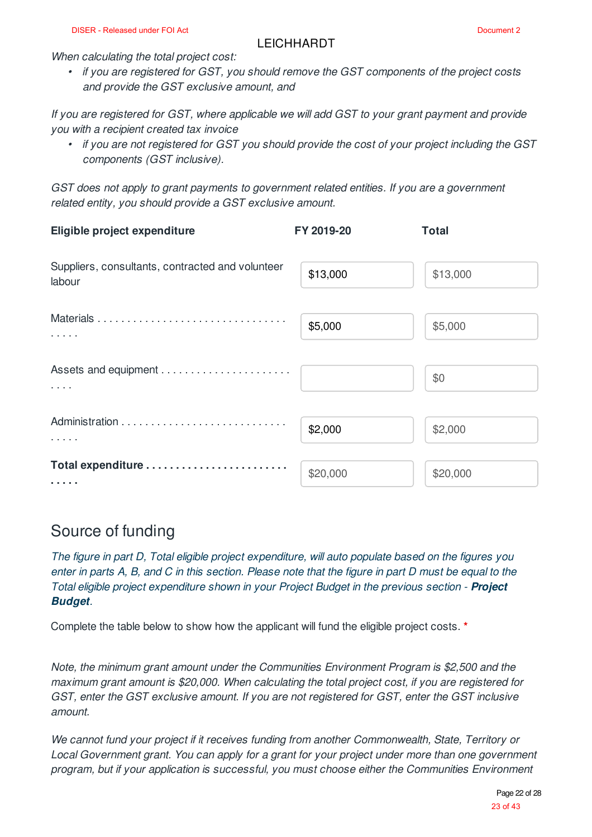*When calculating the total project cost:*

*• if you are registered for GST, you should remove the GST components of the project costs and provide the GST exclusive amount, and*

*If you are registered for GST, where applicable we will add GST to your grant payment and provide you with a recipient created tax invoice*

• if you are not registered for GST you should provide the cost of your project including the GST *components (GST inclusive).*

*GST does not apply to grant payments to government related entities. If you are a government related entity, you should provide a GST exclusive amount.*

| Eligible project expenditure                               | FY 2019-20 | <b>Total</b> |
|------------------------------------------------------------|------------|--------------|
| Suppliers, consultants, contracted and volunteer<br>labour | \$13,000   | \$13,000     |
| $\alpha$ , $\alpha$ , $\alpha$ , $\alpha$                  | \$5,000    | \$5,000      |
| $\sim$ 100 $\sim$ 100 $\sim$                               |            | \$0          |
|                                                            | \$2,000    | \$2,000      |
| Total expenditure<br>.                                     | \$20,000   | \$20,000     |

### Source of funding

*The figure in part D, Total eligible project expenditure, will auto populate based on the figures you* enter in parts A, B, and C in this section. Please note that the figure in part D must be equal to the *Total eligible project expenditure shown in your Project Budget in the previous section - Project Budget.*

Complete the table below to show how the applicant will fund the eligible project costs. **\***

*Note, the minimum grant amount under the Communities Environment Program is \$2,500 and the maximum grant amount is \$20,000. When calculating the total project cost, if you are registered for GST, enter the GST exclusive amount. If you are not registered for GST, enter the GST inclusive amount.*

*We cannot fund your project if it receives funding from another Commonwealth, State, Territory or Local Government grant. You can apply for a grant for your project under more than one government program, but if your application is successful, you must choose either the Communities Environment*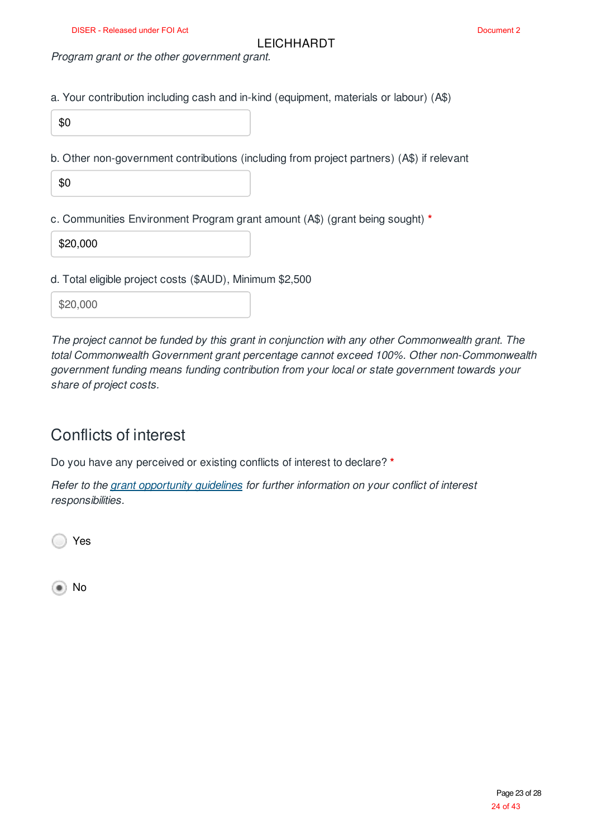*Program grant or the other government grant.*

a. Your contribution including cash and in-kind (equipment, materials or labour) (A\$)

\$0

b. Other non-government contributions (including from project partners) (A\$) if relevant

\$0

c. Communities Environment Program grant amount (A\$) (grant being sought) **\***

\$20,000

d. Total eligible project costs (\$AUD), Minimum \$2,500

\$20,000

*The project cannot be funded by this grant in conjunction with any other Commonwealth grant. The total Commonwealth Government grant percentage cannot exceed 100%. Other non-Commonwealth government funding means funding contribution from your local or state government towards your share of project costs.*

### Conflicts of interest

Do you have any perceived or existing conflicts of interest to declare? **\***

*Refer to the grant opportunity guidelines for further information on your conflict of interest responsibilities.*

Yes

⊕) No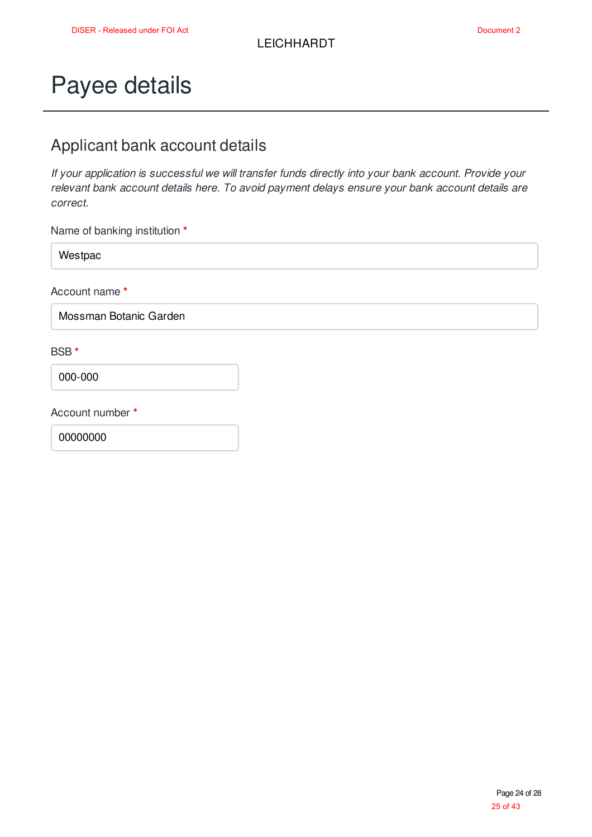## Payee details

### Applicant bank account details

*If your application is successful we will transfer funds directly into your bank account. Provide your relevant bank account details here. To avoid payment delays ensure your bank account details are correct.*

Name of banking institution **\***

Westpac

Account name **\***

Mossman Botanic Garden

#### BSB **\***

000-000

Account number **\***

00000000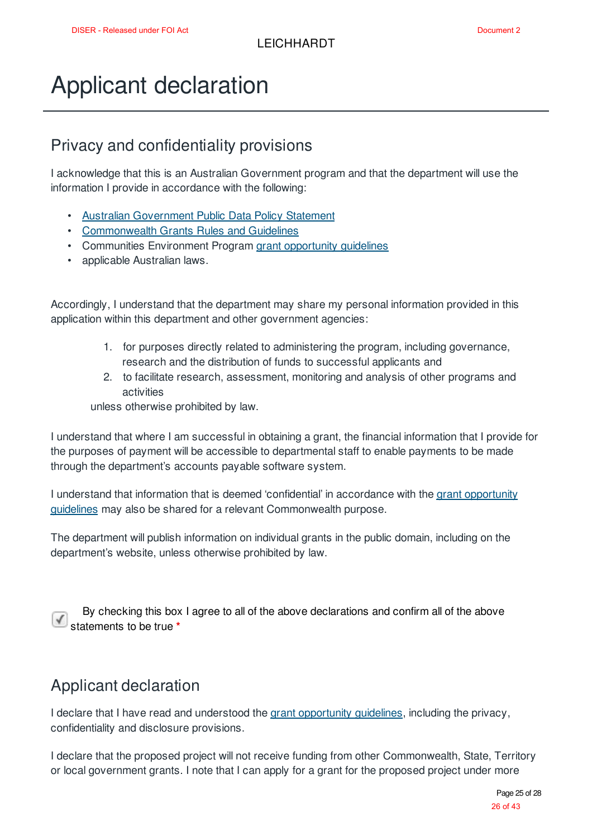## Applicant declaration

### Privacy and confidentiality provisions

I acknowledge that this is an Australian Government program and that the department will use the information I provide in accordance with the following:

- Australian Government Public Data Policy Statement
- Commonwealth Grants Rules and Guidelines
- Communities Environment Program grant opportunity guidelines
- applicable Australian laws.

Accordingly, I understand that the department may share my personal information provided in this application within this department and other government agencies:

- 1. for purposes directly related to administering the program, including governance, research and the distribution of funds to successful applicants and
- 2. to facilitate research, assessment, monitoring and analysis of other programs and activities

unless otherwise prohibited by law.

I understand that where I am successful in obtaining a grant, the financial information that I provide for the purposes of payment will be accessible to departmental staff to enable payments to be made through the department's accounts payable software system.

I understand that information that is deemed 'confidential' in accordance with the grant opportunity guidelines may also be shared for a relevant Commonwealth purpose.

The department will publish information on individual grants in the public domain, including on the department's website, unless otherwise prohibited by law.

By checking this box I agree to all of the above declarations and confirm all of the above statements to be true **\***

### Applicant declaration

I declare that I have read and understood the grant opportunity guidelines, including the privacy, confidentiality and disclosure provisions.

I declare that the proposed project will not receive funding from other Commonwealth, State, Territory or local government grants. I note that I can apply for a grant for the proposed project under more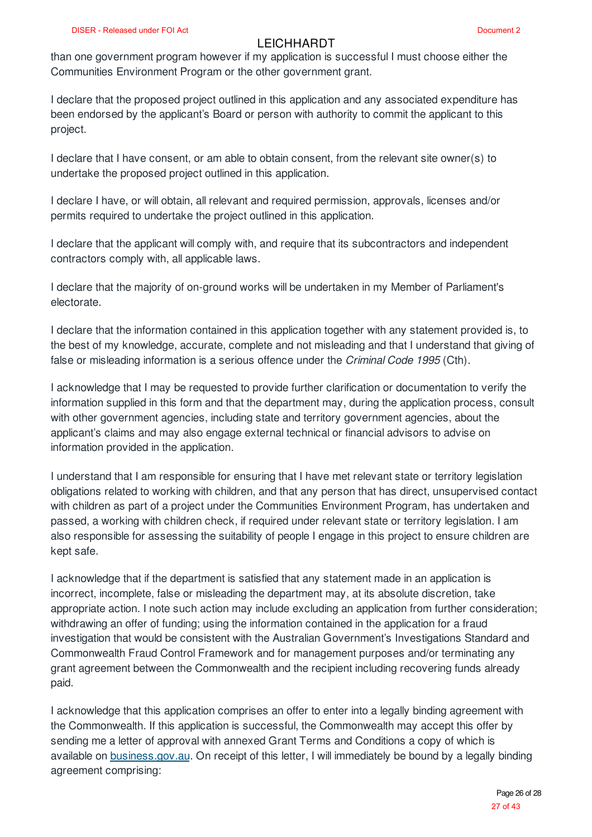than one government program however if my application is successful I must choose either the Communities Environment Program or the other government grant.

I declare that the proposed project outlined in this application and any associated expenditure has been endorsed by the applicant's Board or person with authority to commit the applicant to this project.

I declare that I have consent, or am able to obtain consent, from the relevant site owner(s) to undertake the proposed project outlined in this application.

I declare I have, or will obtain, all relevant and required permission, approvals, licenses and/or permits required to undertake the project outlined in this application.

I declare that the applicant will comply with, and require that its subcontractors and independent contractors comply with, all applicable laws.

I declare that the majority of on-ground works will be undertaken in my Member of Parliament's electorate.

I declare that the information contained in this application together with any statement provided is, to the best of my knowledge, accurate, complete and not misleading and that I understand that giving of false or misleading information is a serious offence under the *Criminal Code 1995* (Cth).

I acknowledge that I may be requested to provide further clarification or documentation to verify the information supplied in this form and that the department may, during the application process, consult with other government agencies, including state and territory government agencies, about the applicant's claims and may also engage external technical or financial advisors to advise on information provided in the application.

I understand that I am responsible for ensuring that I have met relevant state or territory legislation obligations related to working with children, and that any person that has direct, unsupervised contact with children as part of a project under the Communities Environment Program, has undertaken and passed, a working with children check, if required under relevant state or territory legislation. I am also responsible for assessing the suitability of people I engage in this project to ensure children are kept safe.

I acknowledge that if the department is satisfied that any statement made in an application is incorrect, incomplete, false or misleading the department may, at its absolute discretion, take appropriate action. I note such action may include excluding an application from further consideration; withdrawing an offer of funding; using the information contained in the application for a fraud investigation that would be consistent with the Australian Government's Investigations Standard and Commonwealth Fraud Control Framework and for management purposes and/or terminating any grant agreement between the Commonwealth and the recipient including recovering funds already paid.

I acknowledge that this application comprises an offer to enter into a legally binding agreement with the Commonwealth. If this application is successful, the Commonwealth may accept this offer by sending me a letter of approval with annexed Grant Terms and Conditions a copy of which is available on business.gov.au. On receipt of this letter, I will immediately be bound by a legally binding agreement comprising: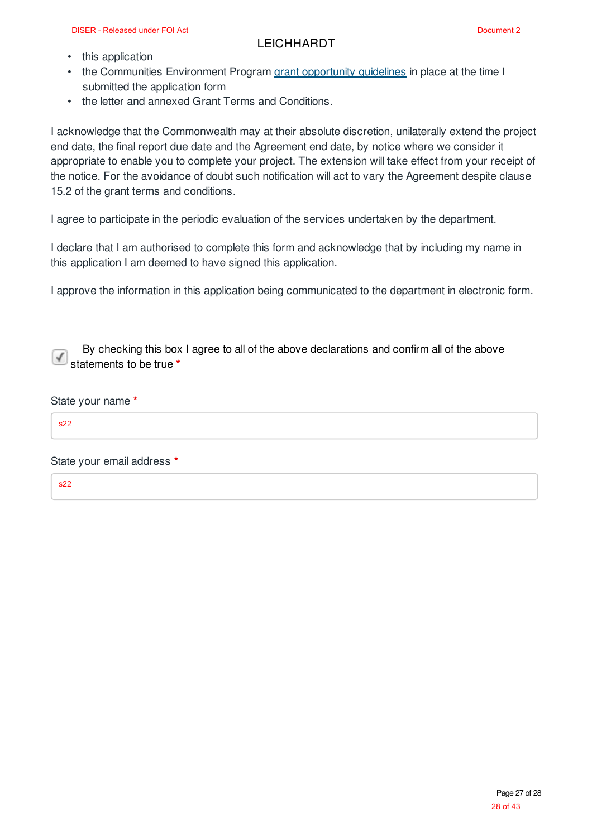- this application
- the Communities Environment Program grant opportunity guidelines in place at the time I submitted the application form
- the letter and annexed Grant Terms and Conditions.

I acknowledge that the Commonwealth may at their absolute discretion, unilaterally extend the project end date, the final report due date and the Agreement end date, by notice where we consider it appropriate to enable you to complete your project. The extension will take effect from your receipt of the notice. For the avoidance of doubt such notification will act to vary the Agreement despite clause 15.2 of the grant terms and conditions.

I agree to participate in the periodic evaluation of the services undertaken by the department.

I declare that I am authorised to complete this form and acknowledge that by including my name in this application I am deemed to have signed this application.

I approve the information in this application being communicated to the department in electronic form.

By checking this box I agree to all of the above declarations and confirm all of the above statements to be true **\***

#### State your name **\***

 $522$ 

State your email address **\***

s22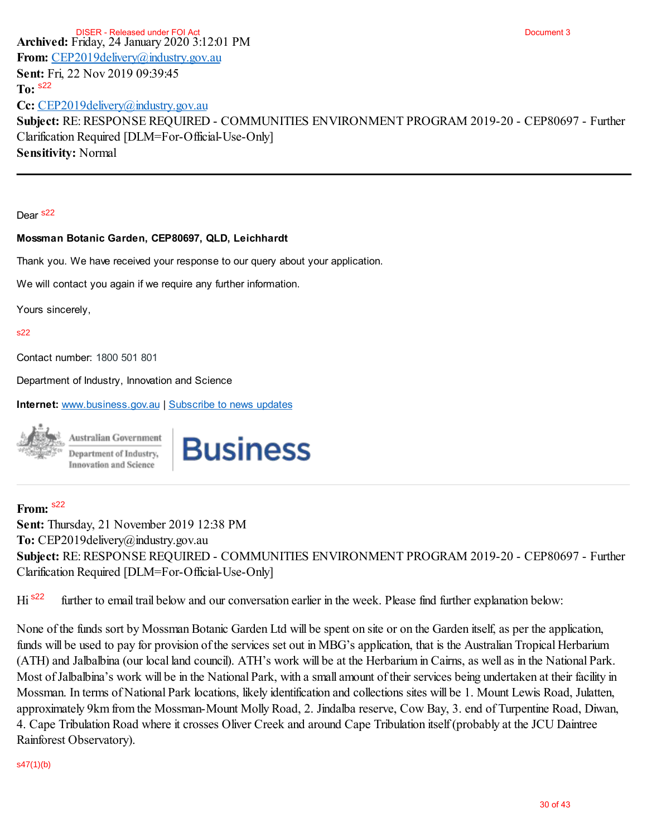**Archived:** Friday, 24 January 2020 3:12:01 PM **From:** CEP2019delivery@industry.gov.au **Sent:** Fri, 22 Nov 2019 09:39:45 **To: Cc:** CEP2019delivery@industry.gov.au **Subject:** RE: RESPONSE REQUIRED - COMMUNITIES ENVIRONMENT PROGRAM 2019-20 - CEP80697 - Further Clarification Required [DLM=For-Official-Use-Only] **Sensitivity:** Normal Document 3 To: <sup>s22</sup><br>Cc: <u>CEP2</u><br>Subject: l<br>Clarificatic<br>Sensitivit<br>Dear s<sup>22</sup><br>Dear s<sup>22</sup><br>Mossman<br>Thank you<br>We will convise sinc<br>s22<br>Contact nu<br>Department: <u>v</u><br>Sent: Thu<br>Sent: Thu<br>Sent: Thu<br>Sent: Thu<br>Sent: Thu<br>Sent: Thu<br>Sent: Thu<br>Sent DISER - Released under FOI Act

Dear<sub>s22</sub>

#### **Mossman Botanic Garden, CEP80697, QLD, Leichhardt**

Thank you. We have received your response to our query about your application.

We will contact you again if we require any further information.

Yours sincerely,

#### $s22$

Contact number: 1800 501 801

Department of Industry, Innovation and Science

**Internet:** www.business.gov.au | Subscribe to news updates



# **Business**

#### **From:**

**Sent:** Thursday, 21 November 2019 12:38 PM **To:** CEP2019delivery@industry.gov.au **Subject:** RE: RESPONSE REQUIRED - COMMUNITIES ENVIRONMENT PROGRAM 2019-20 - CEP80697 - Further Clarification Required [DLM=For-Official-Use-Only]

Hi<sup> s22</sup> further to email trail below and our conversation earlier in the week. Please find further explanation below:

None of the funds sort by Mossman Botanic Garden Ltd will be spent on site or on the Garden itself, as per the application, funds will be used to pay for provision of the services set out in MBG's application, that is the Australian Tropical Herbarium (ATH) and Jalbalbina (our local land council). ATH's work will be at the Herbarium in Cairns, as well as in the National Park. Most of Jalbalbina's work will be in the National Park, with a small amount of their services being undertaken at their facility in Mossman. In terms of National Park locations, likely identification and collections sites will be 1. Mount Lewis Road, Julatten, approximately 9km from the Mossman-Mount Molly Road, 2. Jindalba reserve, Cow Bay, 3. end of Turpentine Road, Diwan, 4. Cape Tribulation Road where it crosses Oliver Creek and around Cape Tribulation itself (probably at the JCU Daintree Rainforest Observatory).

#### s47(1)(b)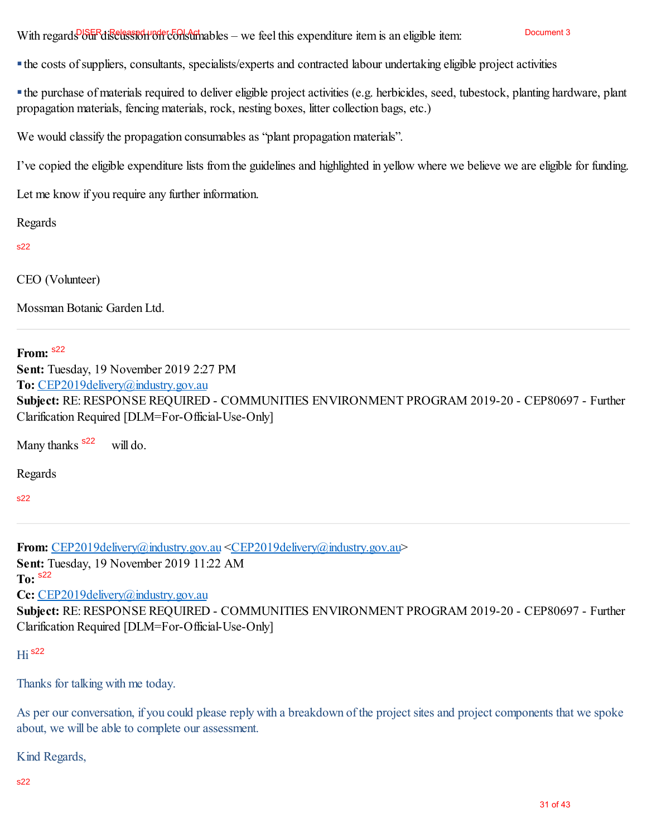With regards our discussion of the olls of the best of the expenditure item is an eligible item:

the costs of suppliers, consultants, specialists/experts and contracted labour undertaking eligible project activities

the purchase of materials required to deliver eligible project activities (e.g. herbicides, seed, tubestock, planting hardware, plant propagation materials, fencing materials, rock, nesting boxes, litter collection bags, etc.)

We would classify the propagation consumables as "plant propagation materials".

I've copied the eligible expenditure lists from the guidelines and highlighted in yellow where we believe we are eligible for funding.

Let me know if you require any further information.

Regards

s22

CEO (Volunteer)

Mossman Botanic Garden Ltd.

### **From:** s22

**Sent:** Tuesday, 19 November 2019 2:27 PM **To:** CEP2019delivery@industry.gov.au **Subject:** RE: RESPONSE REQUIRED - COMMUNITIES ENVIRONMENT PROGRAM 2019-20 - CEP80697 - Further Clarification Required [DLM=For-Official-Use-Only]

Many thanks <sup>\$22</sup> will do.

Regards

s22

**From:** CEP2019delivery@industry.gov.au <CEP2019delivery@industry.gov.au> **Sent:** Tuesday, 19 November 2019 11:22 AM **To:** s22 Cc: CEP2019delivery@industry.gov.au **Subject:** RE: RESPONSE REQUIRED - COMMUNITIES ENVIRONMENT PROGRAM 2019-20 - CEP80697 - Further Clarification Required [DLM=For-Official-Use-Only]

```
Hi
s22
```
Thanks for talking with me today.

As per our conversation, if you could please reply with a breakdown of the project sites and project components that we spoke about, we will be able to complete our assessment.

Kind Regards,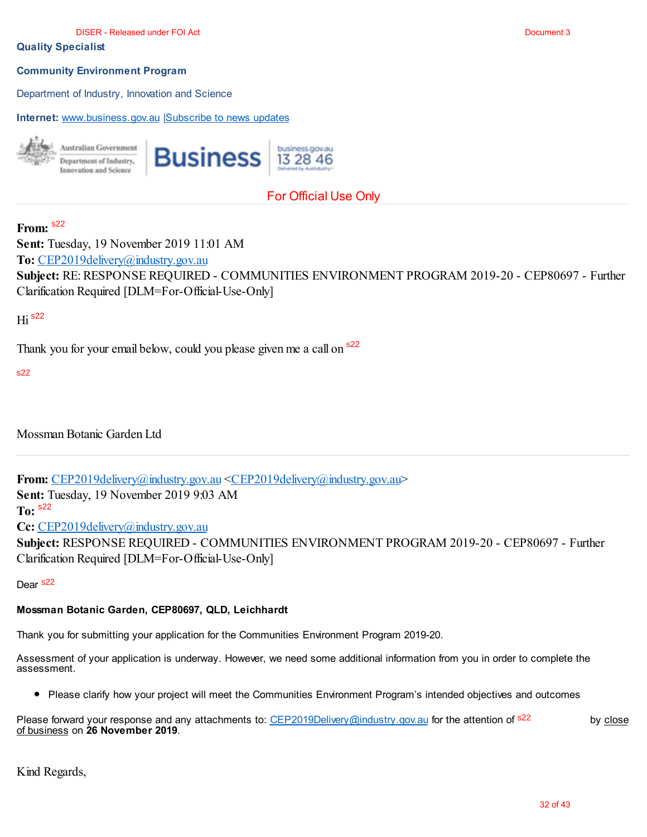#### **Quality Specialist**

#### **Community Environment Program**

Department of Industry, Innovation and Science

**Internet:** www.business.gov.au |Subscribe to news updates



### For Official Use Only

#### **From:** s22

**Sent:** Tuesday, 19 November 2019 11:01 AM **To:** CEP2019delivery@industry.gov.au **Subject:** RE: RESPONSE REQUIRED - COMMUNITIES ENVIRONMENT PROGRAM 2019-20 - CEP80697 - Further Clarification Required [DLM=For-Official-Use-Only]

### Hi s22

Thank you for your email below, could you please given me a call on <sup>s22</sup>

#### s22

Mossman Botanic Garden Ltd

**From:** CEP2019delivery@industry.gov.au <CEP2019delivery@industry.gov.au>

**Sent:** Tuesday, 19 November 2019 9:03 AM

**To:**

Cc: CEP2019delivery@industry.gov.au

**Subject:** RESPONSE REQUIRED - COMMUNITIES ENVIRONMENT PROGRAM 2019-20 - CEP80697 - Further Clarification Required [DLM=For-Official-Use-Only] s22<br>CE<br>ject<br>ifica<br>s22

Dear<sub>s22</sub>

#### **Mossman Botanic Garden, CEP80697, QLD, Leichhardt**

Thank you for submitting your application for the Communities Environment Program 2019-20.

Assessment of your application is underway. However, we need some additional information from you in order to complete the assessment.

Please clarify how your project will meet the Communities Environment Program's intended objectives and outcomes

| Please forward your response and any attachments to: CEP2019Delivery@industry.gov.au for the attention of <sup>s22</sup> | by close |
|--------------------------------------------------------------------------------------------------------------------------|----------|
| of business on 26 November 2019.                                                                                         |          |

Kind Regards,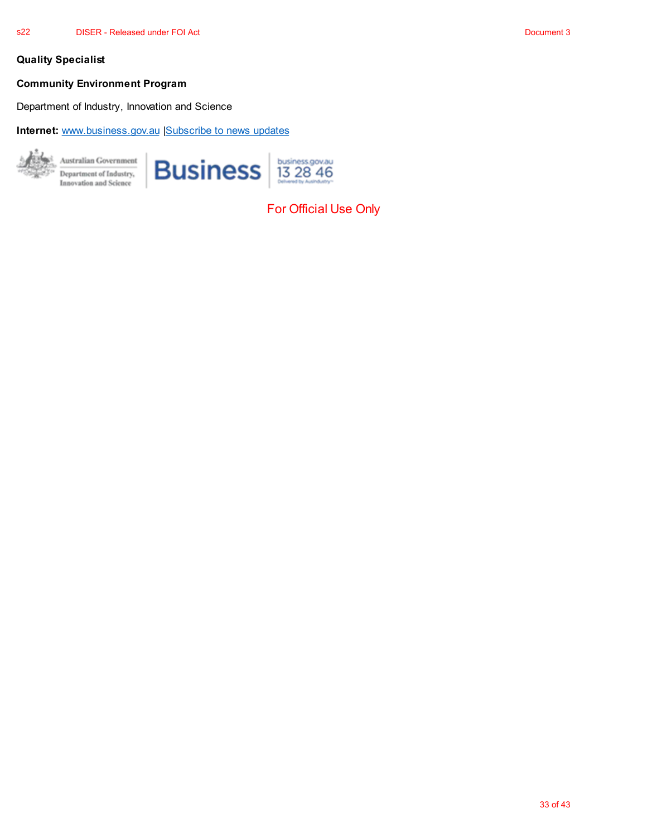#### **Quality Specialist**

#### **Community Environment Program**

Department of Industry, Innovation and Science

**Internet:** www.business.gov.au |Subscribe to news updates



For Official Use Only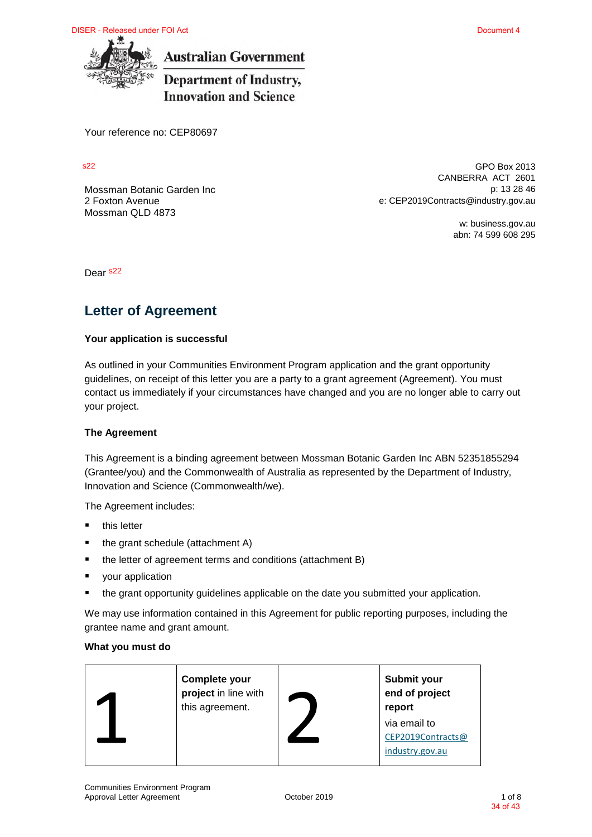DISER - Released under FOI Act



**Australian Government** 

**Department of Industry, Innovation and Science** 

Your reference no: CEP80697

s22

2 Foxton Avenue Mossman QLD 4873

GPO Box 2013 CANBERRA ACT 2601 Mossman Botanic Garden Inc **p**: 13 28 46 e: CEP2019Contracts@industry.gov.au

> w: business.gov.au abn: 74 599 608 295

Dear <sup>s22</sup>

### **Letter of Agreement**

#### **Your application is successful**

As outlined in your Communities Environment Program application and the grant opportunity guidelines, on receipt of this letter you are a party to a grant agreement (Agreement). You must contact us immediately if your circumstances have changed and you are no longer able to carry out your project.

#### **The Agreement**

This Agreement is a binding agreement between Mossman Botanic Garden Inc ABN 52351855294 (Grantee/you) and the Commonwealth of Australia as represented by the Department of Industry, Innovation and Science (Commonwealth/we).

The Agreement includes:

- $\blacksquare$  this letter
- the grant schedule (attachment A)
- the letter of agreement terms and conditions (attachment B)
- your application
- the grant opportunity guidelines applicable on the date you submitted your application.

We may use information contained in this Agreement for public reporting purposes, including the grantee name and grant amount.

#### **What you must do**

| Complete your<br>project in line with<br>this agreement. | Submit your<br>end of project<br>report |
|----------------------------------------------------------|-----------------------------------------|
|                                                          | via email to                            |
|                                                          | CEP2019Contracts@                       |
|                                                          | industry.gov.au                         |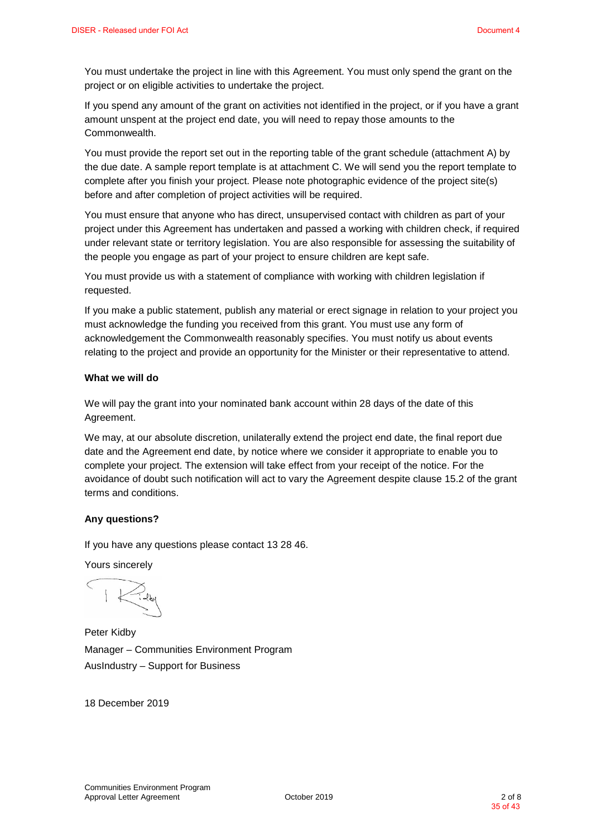You must undertake the project in line with this Agreement. You must only spend the grant on the project or on eligible activities to undertake the project.

If you spend any amount of the grant on activities not identified in the project, or if you have a grant amount unspent at the project end date, you will need to repay those amounts to the Commonwealth.

You must provide the report set out in the reporting table of the grant schedule (attachment A) by the due date. A sample report template is at attachment C. We will send you the report template to complete after you finish your project. Please note photographic evidence of the project site(s) before and after completion of project activities will be required.

You must ensure that anyone who has direct, unsupervised contact with children as part of your project under this Agreement has undertaken and passed a working with children check, if required under relevant state or territory legislation. You are also responsible for assessing the suitability of the people you engage as part of your project to ensure children are kept safe.

You must provide us with a statement of compliance with working with children legislation if requested.

If you make a public statement, publish any material or erect signage in relation to your project you must acknowledge the funding you received from this grant. You must use any form of acknowledgement the Commonwealth reasonably specifies. You must notify us about events relating to the project and provide an opportunity for the Minister or their representative to attend.

#### **What we will do**

We will pay the grant into your nominated bank account within 28 days of the date of this Agreement.

We may, at our absolute discretion, unilaterally extend the project end date, the final report due date and the Agreement end date, by notice where we consider it appropriate to enable you to complete your project. The extension will take effect from your receipt of the notice. For the avoidance of doubt such notification will act to vary the Agreement despite clause 15.2 of the grant terms and conditions.

#### **Any questions?**

If you have any questions please contact 13 28 46.

Yours sincerely

 $\sqrt{2}$ 

Peter Kidby Manager – Communities Environment Program AusIndustry – Support for Business

18 December 2019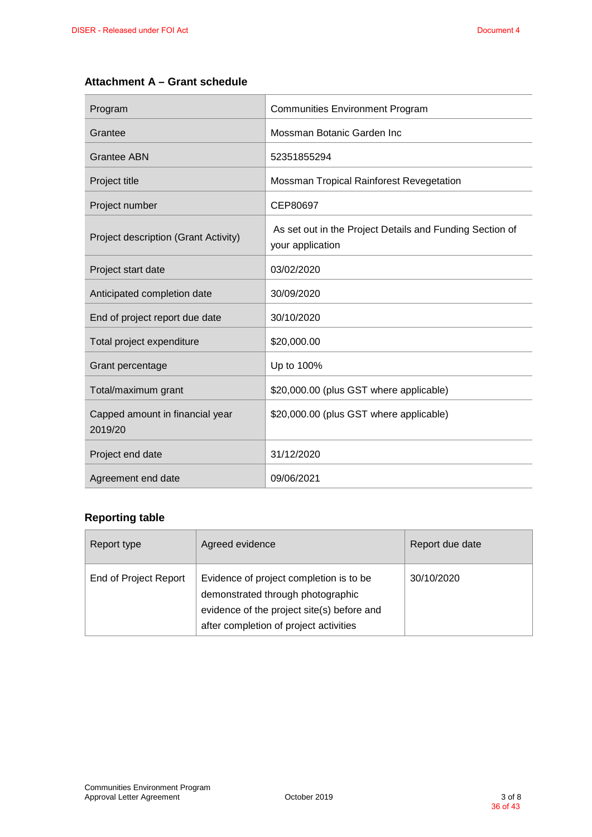#### **Attachment A – Grant schedule**

| Program                                    | <b>Communities Environment Program</b>                                       |
|--------------------------------------------|------------------------------------------------------------------------------|
| Grantee                                    | Mossman Botanic Garden Inc                                                   |
| <b>Grantee ABN</b>                         | 52351855294                                                                  |
| Project title                              | Mossman Tropical Rainforest Revegetation                                     |
| Project number                             | CEP80697                                                                     |
| Project description (Grant Activity)       | As set out in the Project Details and Funding Section of<br>your application |
| Project start date                         | 03/02/2020                                                                   |
| Anticipated completion date                | 30/09/2020                                                                   |
| End of project report due date             | 30/10/2020                                                                   |
| Total project expenditure                  | \$20,000.00                                                                  |
| Grant percentage                           | Up to 100%                                                                   |
| Total/maximum grant                        | \$20,000.00 (plus GST where applicable)                                      |
| Capped amount in financial year<br>2019/20 | \$20,000.00 (plus GST where applicable)                                      |
| Project end date                           | 31/12/2020                                                                   |
| Agreement end date                         | 09/06/2021                                                                   |

#### **Reporting table**

| Report type           | Agreed evidence                                                                                                                                                      | Report due date |
|-----------------------|----------------------------------------------------------------------------------------------------------------------------------------------------------------------|-----------------|
| End of Project Report | Evidence of project completion is to be<br>demonstrated through photographic<br>evidence of the project site(s) before and<br>after completion of project activities | 30/10/2020      |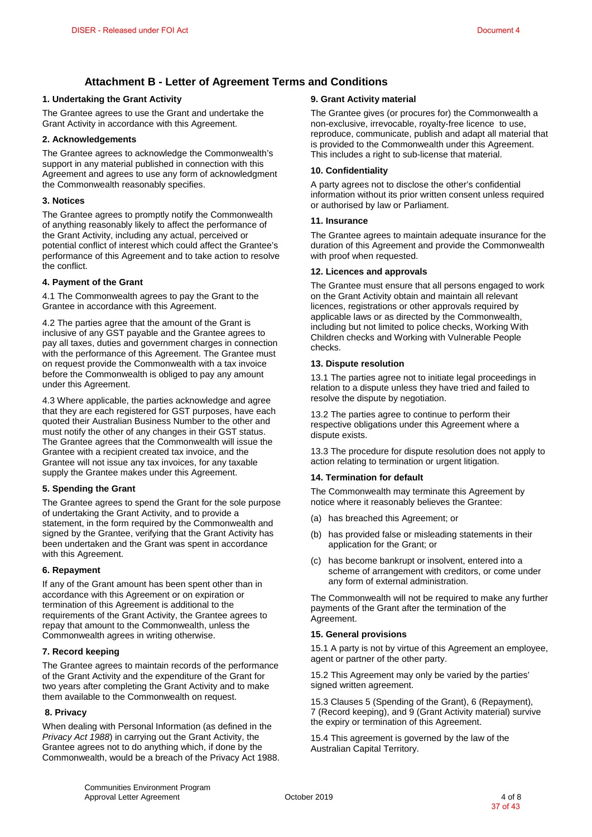#### **Attachment B - Letter of Agreement Terms and Conditions**

#### **1. Undertaking the Grant Activity**

The Grantee agrees to use the Grant and undertake the Grant Activity in accordance with this Agreement.

#### **2. Acknowledgements**

The Grantee agrees to acknowledge the Commonwealth's support in any material published in connection with this Agreement and agrees to use any form of acknowledgment the Commonwealth reasonably specifies.

#### **3. Notices**

The Grantee agrees to promptly notify the Commonwealth of anything reasonably likely to affect the performance of the Grant Activity, including any actual, perceived or potential conflict of interest which could affect the Grantee's performance of this Agreement and to take action to resolve the conflict.

#### **4. Payment of the Grant**

4.1 The Commonwealth agrees to pay the Grant to the Grantee in accordance with this Agreement.

4.2 The parties agree that the amount of the Grant is inclusive of any GST payable and the Grantee agrees to pay all taxes, duties and government charges in connection with the performance of this Agreement. The Grantee must on request provide the Commonwealth with a tax invoice before the Commonwealth is obliged to pay any amount under this Agreement.

4.3 Where applicable, the parties acknowledge and agree that they are each registered for GST purposes, have each quoted their Australian Business Number to the other and must notify the other of any changes in their GST status. The Grantee agrees that the Commonwealth will issue the Grantee with a recipient created tax invoice, and the Grantee will not issue any tax invoices, for any taxable supply the Grantee makes under this Agreement.

#### **5. Spending the Grant**

The Grantee agrees to spend the Grant for the sole purpose of undertaking the Grant Activity, and to provide a statement, in the form required by the Commonwealth and signed by the Grantee, verifying that the Grant Activity has been undertaken and the Grant was spent in accordance with this Agreement.

#### **6. Repayment**

If any of the Grant amount has been spent other than in accordance with this Agreement or on expiration or termination of this Agreement is additional to the requirements of the Grant Activity, the Grantee agrees to repay that amount to the Commonwealth, unless the Commonwealth agrees in writing otherwise.

#### **7. Record keeping**

The Grantee agrees to maintain records of the performance of the Grant Activity and the expenditure of the Grant for two years after completing the Grant Activity and to make them available to the Commonwealth on request.

#### **8. Privacy**

When dealing with Personal Information (as defined in the *Privacy Act 1988*) in carrying out the Grant Activity, the Grantee agrees not to do anything which, if done by the Commonwealth, would be a breach of the Privacy Act 1988.

#### **9. Grant Activity material**

The Grantee gives (or procures for) the Commonwealth a non-exclusive, irrevocable, royalty-free licence to use, reproduce, communicate, publish and adapt all material that is provided to the Commonwealth under this Agreement. This includes a right to sub-license that material.

#### **10. Confidentiality**

A party agrees not to disclose the other's confidential information without its prior written consent unless required or authorised by law or Parliament.

#### **11. Insurance**

The Grantee agrees to maintain adequate insurance for the duration of this Agreement and provide the Commonwealth with proof when requested.

#### **12. Licences and approvals**

The Grantee must ensure that all persons engaged to work on the Grant Activity obtain and maintain all relevant licences, registrations or other approvals required by applicable laws or as directed by the Commonwealth, including but not limited to police checks, Working With Children checks and Working with Vulnerable People checks.

#### **13. Dispute resolution**

13.1 The parties agree not to initiate legal proceedings in relation to a dispute unless they have tried and failed to resolve the dispute by negotiation.

13.2 The parties agree to continue to perform their respective obligations under this Agreement where a dispute exists.

13.3 The procedure for dispute resolution does not apply to action relating to termination or urgent litigation.

#### **14. Termination for default**

The Commonwealth may terminate this Agreement by notice where it reasonably believes the Grantee:

- (a) has breached this Agreement; or
- (b) has provided false or misleading statements in their application for the Grant; or
- (c) has become bankrupt or insolvent, entered into a scheme of arrangement with creditors, or come under any form of external administration.

The Commonwealth will not be required to make any further payments of the Grant after the termination of the Agreement.

#### **15. General provisions**

15.1 A party is not by virtue of this Agreement an employee, agent or partner of the other party.

15.2 This Agreement may only be varied by the parties' signed written agreement.

15.3 Clauses 5 (Spending of the Grant), 6 (Repayment), 7 (Record keeping), and 9 (Grant Activity material) survive the expiry or termination of this Agreement.

15.4 This agreement is governed by the law of the Australian Capital Territory.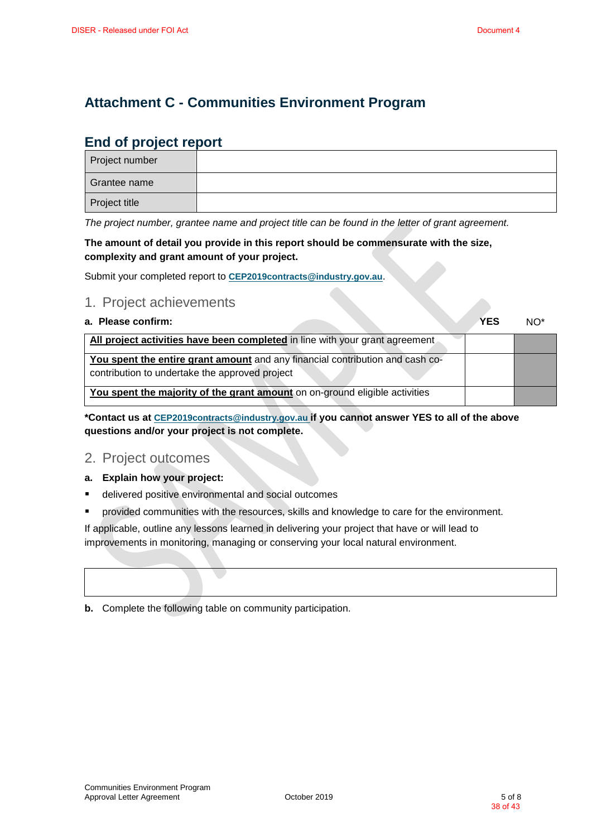### **Attachment C - Communities Environment Program**

### **End of project report**

| Project number |  |
|----------------|--|
| Grantee name   |  |
| Project title  |  |

*The project number, grantee name and project title can be found in the letter of grant agreement.*

**The amount of detail you provide in this report should be commensurate with the size, complexity and grant amount of your project.** 

Submit your completed report to **CEP2019contracts@industry.gov.au**.

#### 1. Project achievements

**a. Please confirm: YES** NO\* **All project activities have been completed** in line with your grant agreement **You spent the entire grant amount** and any financial contribution and cash cocontribution to undertake the approved project **You spent the majority of the grant amount** on on-ground eligible activities

**\*Contact us at CEP2019contracts@industry.gov.au if you cannot answer YES to all of the above questions and/or your project is not complete.** 

#### 2. Project outcomes

#### **a. Explain how your project:**

- delivered positive environmental and social outcomes
- provided communities with the resources, skills and knowledge to care for the environment.

If applicable, outline any lessons learned in delivering your project that have or will lead to improvements in monitoring, managing or conserving your local natural environment.

**b.** Complete the following table on community participation.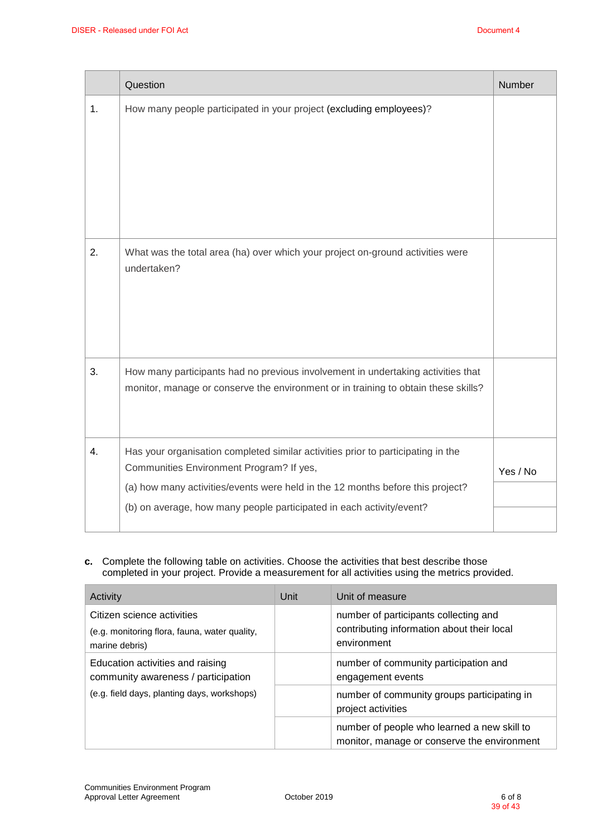|    | Question                                                                                                                                                                                                                                                                               | <b>Number</b> |
|----|----------------------------------------------------------------------------------------------------------------------------------------------------------------------------------------------------------------------------------------------------------------------------------------|---------------|
| 1. | How many people participated in your project (excluding employees)?                                                                                                                                                                                                                    |               |
| 2. | What was the total area (ha) over which your project on-ground activities were<br>undertaken?                                                                                                                                                                                          |               |
| 3. | How many participants had no previous involvement in undertaking activities that<br>monitor, manage or conserve the environment or in training to obtain these skills?                                                                                                                 |               |
| 4. | Has your organisation completed similar activities prior to participating in the<br>Communities Environment Program? If yes,<br>(a) how many activities/events were held in the 12 months before this project?<br>(b) on average, how many people participated in each activity/event? | Yes / No      |
|    |                                                                                                                                                                                                                                                                                        |               |

**c.** Complete the following table on activities. Choose the activities that best describe those completed in your project. Provide a measurement for all activities using the metrics provided.

| Activity                                                                                                               | Unit | Unit of measure                                                                                    |
|------------------------------------------------------------------------------------------------------------------------|------|----------------------------------------------------------------------------------------------------|
| Citizen science activities<br>(e.g. monitoring flora, fauna, water quality,<br>marine debris)                          |      | number of participants collecting and<br>contributing information about their local<br>environment |
| Education activities and raising<br>community awareness / participation<br>(e.g. field days, planting days, workshops) |      | number of community participation and<br>engagement events                                         |
|                                                                                                                        |      | number of community groups participating in<br>project activities                                  |
|                                                                                                                        |      | number of people who learned a new skill to<br>monitor, manage or conserve the environment         |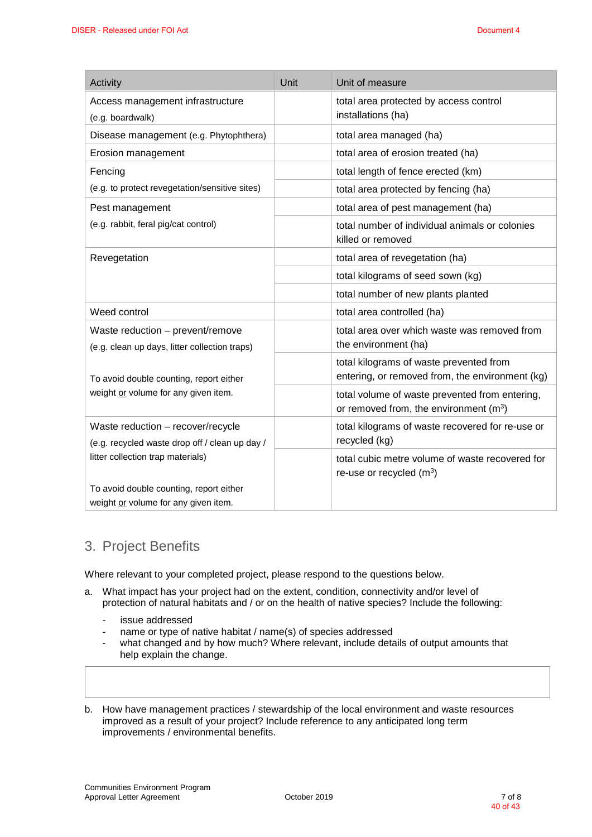| Activity                                                                                                                 | Unit | Unit of measure                                                                                      |
|--------------------------------------------------------------------------------------------------------------------------|------|------------------------------------------------------------------------------------------------------|
| Access management infrastructure<br>(e.g. boardwalk)                                                                     |      | total area protected by access control<br>installations (ha)                                         |
| Disease management (e.g. Phytophthera)                                                                                   |      | total area managed (ha)                                                                              |
| Erosion management                                                                                                       |      | total area of erosion treated (ha)                                                                   |
| Fencing<br>(e.g. to protect revegetation/sensitive sites)                                                                |      | total length of fence erected (km)                                                                   |
|                                                                                                                          |      | total area protected by fencing (ha)                                                                 |
| Pest management                                                                                                          |      | total area of pest management (ha)                                                                   |
| (e.g. rabbit, feral pig/cat control)                                                                                     |      | total number of individual animals or colonies<br>killed or removed                                  |
| Revegetation                                                                                                             |      | total area of revegetation (ha)                                                                      |
|                                                                                                                          |      | total kilograms of seed sown (kg)                                                                    |
|                                                                                                                          |      | total number of new plants planted                                                                   |
| Weed control                                                                                                             |      | total area controlled (ha)                                                                           |
| Waste reduction - prevent/remove<br>(e.g. clean up days, litter collection traps)                                        |      | total area over which waste was removed from<br>the environment (ha)                                 |
| To avoid double counting, report either<br>weight or volume for any given item.                                          |      | total kilograms of waste prevented from<br>entering, or removed from, the environment (kg)           |
|                                                                                                                          |      | total volume of waste prevented from entering,<br>or removed from, the environment (m <sup>3</sup> ) |
| Waste reduction - recover/recycle<br>(e.g. recycled waste drop off / clean up day /<br>litter collection trap materials) |      | total kilograms of waste recovered for re-use or<br>recycled (kg)                                    |
|                                                                                                                          |      | total cubic metre volume of waste recovered for<br>re-use or recycled $(m3)$                         |
| To avoid double counting, report either<br>weight or volume for any given item.                                          |      |                                                                                                      |

### 3. Project Benefits

Where relevant to your completed project, please respond to the questions below.

- a. What impact has your project had on the extent, condition, connectivity and/or level of protection of natural habitats and / or on the health of native species? Include the following:
	- issue addressed
	- name or type of native habitat / name(s) of species addressed
	- what changed and by how much? Where relevant, include details of output amounts that help explain the change.
- b. How have management practices / stewardship of the local environment and waste resources improved as a result of your project? Include reference to any anticipated long term improvements / environmental benefits.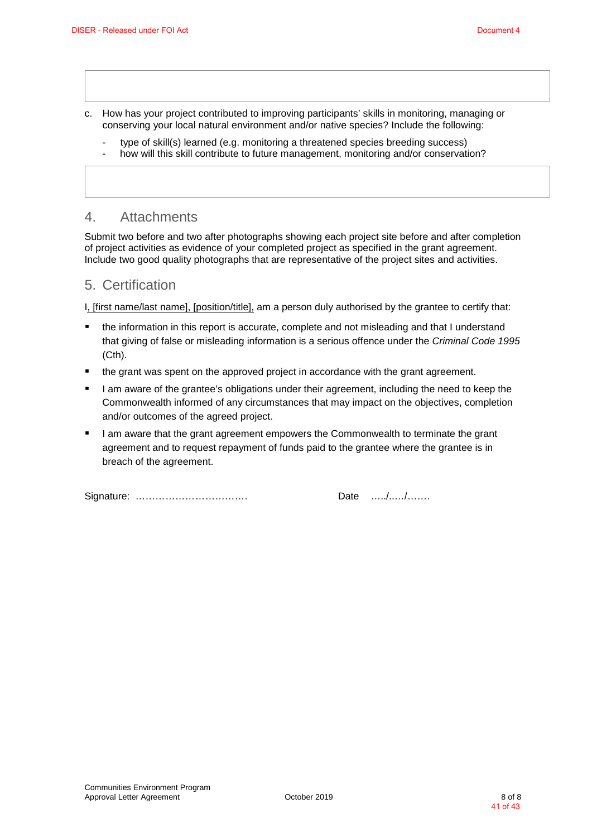- c. How has your project contributed to improving participants' skills in monitoring, managing or conserving your local natural environment and/or native species? Include the following:
	- type of skill(s) learned (e.g. monitoring a threatened species breeding success)
	- how will this skill contribute to future management, monitoring and/or conservation?

#### 4. Attachments

Submit two before and two after photographs showing each project site before and after completion of project activities as evidence of your completed project as specified in the grant agreement. Include two good quality photographs that are representative of the project sites and activities.

#### 5. Certification

I, [first name/last name], [position/title], am a person duly authorised by the grantee to certify that:

- the information in this report is accurate, complete and not misleading and that I understand that giving of false or misleading information is a serious offence under the *Criminal Code 1995* (Cth).
- the grant was spent on the approved project in accordance with the grant agreement.
- I am aware of the grantee's obligations under their agreement, including the need to keep the Commonwealth informed of any circumstances that may impact on the objectives, completion and/or outcomes of the agreed project.
- I am aware that the grant agreement empowers the Commonwealth to terminate the grant agreement and to request repayment of funds paid to the grantee where the grantee is in breach of the agreement.

Signature: ……………………………. Date …../..…/…….